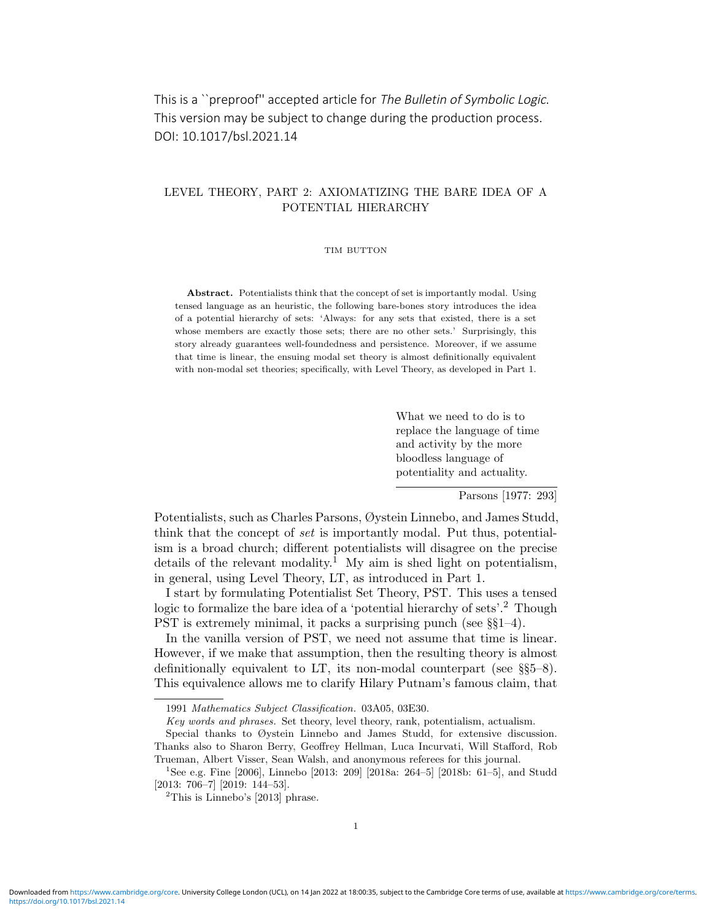This is a ``preproof'' accepted article for The Bulletin of Symbolic Logic. This version may be subject to change during the production process. DOI: 10.1017/bsl.2021.14

# LEVEL THEORY, PART 2: AXIOMATIZING THE BARE IDEA OF A POTENTIAL HIERARCHY

#### TIM BUTTON

Abstract. Potentialists think that the concept of set is importantly modal. Using tensed language as an heuristic, the following bare-bones story introduces the idea of a potential hierarchy of sets: 'Always: for any sets that existed, there is a set whose members are exactly those sets; there are no other sets.' Surprisingly, this story already guarantees well-foundedness and persistence. Moreover, if we assume that time is linear, the ensuing modal set theory is almost definitionally equivalent with non-modal set theories; specifically, with Level Theory, as developed in Part 1.

> What we need to do is to replace the language of time and activity by the more bloodless language of potentiality and actuality.

> > Parsons [1977: 293]

Potentialists, such as Charles Parsons, Øystein Linnebo, and James Studd, think that the concept of set is importantly modal. Put thus, potentialism is a broad church; different potentialists will disagree on the precise details of the relevant modality.<sup>1</sup> My aim is shed light on potentialism, in general, using Level Theory, LT, as introduced in Part 1.

I start by formulating Potentialist Set Theory, PST. This uses a tensed logic to formalize the bare idea of a 'potential hierarchy of sets'.<sup>2</sup> Though PST is extremely minimal, it packs a surprising punch (see §§1–4).

In the vanilla version of PST, we need not assume that time is linear. However, if we make that assumption, then the resulting theory is almost definitionally equivalent to LT, its non-modal counterpart (see §§5–8). This equivalence allows me to clarify Hilary Putnam's famous claim, that

<sup>1991</sup> Mathematics Subject Classification. 03A05, 03E30.

Key words and phrases. Set theory, level theory, rank, potentialism, actualism.

Special thanks to Øystein Linnebo and James Studd, for extensive discussion. Thanks also to Sharon Berry, Geoffrey Hellman, Luca Incurvati, Will Stafford, Rob Trueman, Albert Visser, Sean Walsh, and anonymous referees for this journal.

<sup>&</sup>lt;sup>1</sup>See e.g. Fine [2006], Linnebo [2013: 209] [2018a: 264–5] [2018b: 61–5], and Studd [2013: 706–7] [2019: 144–53].

 $2$ This is Linnebo's [2013] phrase.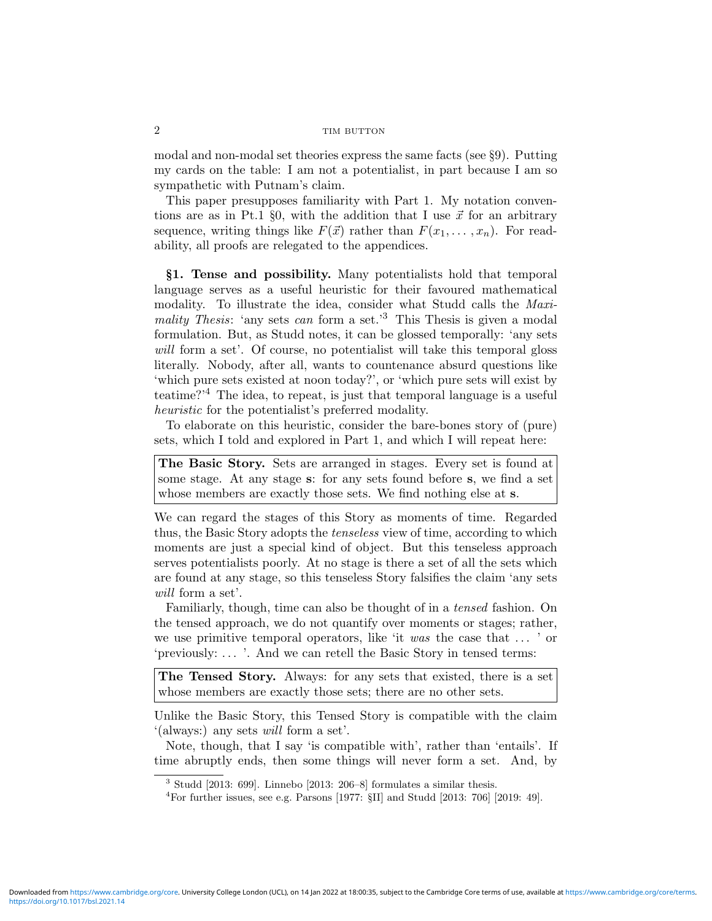modal and non-modal set theories express the same facts (see §9). Putting my cards on the table: I am not a potentialist, in part because I am so sympathetic with Putnam's claim.

This paper presupposes familiarity with Part 1. My notation conventions are as in Pt.1 §0, with the addition that I use  $\vec{x}$  for an arbitrary sequence, writing things like  $F(\vec{x})$  rather than  $F(x_1, \ldots, x_n)$ . For readability, all proofs are relegated to the appendices.

§1. Tense and possibility. Many potentialists hold that temporal language serves as a useful heuristic for their favoured mathematical modality. To illustrate the idea, consider what Studd calls the Maximality Thesis: 'any sets can form a set.'<sup>3</sup> This Thesis is given a modal formulation. But, as Studd notes, it can be glossed temporally: 'any sets will form a set'. Of course, no potentialist will take this temporal gloss literally. Nobody, after all, wants to countenance absurd questions like 'which pure sets existed at noon today?', or 'which pure sets will exist by teatime?'<sup>4</sup> The idea, to repeat, is just that temporal language is a useful heuristic for the potentialist's preferred modality.

To elaborate on this heuristic, consider the bare-bones story of (pure) sets, which I told and explored in Part 1, and which I will repeat here:

The Basic Story. Sets are arranged in stages. Every set is found at some stage. At any stage s: for any sets found before s, we find a set whose members are exactly those sets. We find nothing else at s.

We can regard the stages of this Story as moments of time. Regarded thus, the Basic Story adopts the tenseless view of time, according to which moments are just a special kind of object. But this tenseless approach serves potentialists poorly. At no stage is there a set of all the sets which are found at any stage, so this tenseless Story falsifies the claim 'any sets will form a set'.

Familiarly, though, time can also be thought of in a tensed fashion. On the tensed approach, we do not quantify over moments or stages; rather, we use primitive temporal operators, like 'it was the case that  $\dots$  ' or 'previously: . . . '. And we can retell the Basic Story in tensed terms:

The Tensed Story. Always: for any sets that existed, there is a set whose members are exactly those sets; there are no other sets.

Unlike the Basic Story, this Tensed Story is compatible with the claim '(always:) any sets will form a set'.

Note, though, that I say 'is compatible with', rather than 'entails'. If time abruptly ends, then some things will never form a set. And, by

<sup>3</sup> Studd [2013: 699]. Linnebo [2013: 206–8] formulates a similar thesis.

<sup>&</sup>lt;sup>4</sup>For further issues, see e.g. Parsons [1977:  $\S$ II] and Studd [2013: 706] [2019: 49].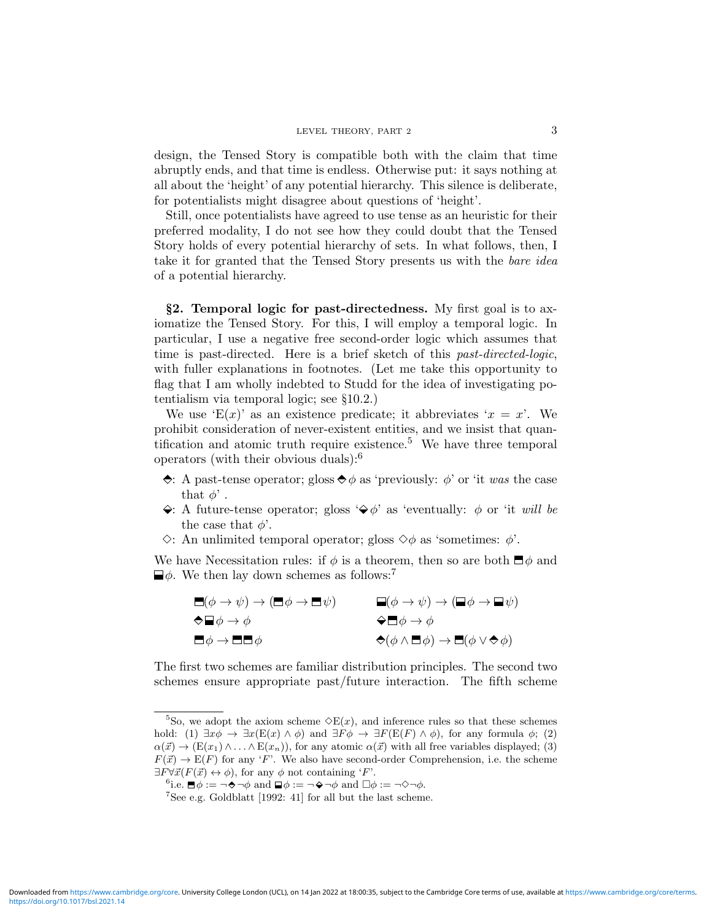design, the Tensed Story is compatible both with the claim that time abruptly ends, and that time is endless. Otherwise put: it says nothing at all about the 'height' of any potential hierarchy. This silence is deliberate, for potentialists might disagree about questions of 'height'.

Still, once potentialists have agreed to use tense as an heuristic for their preferred modality, I do not see how they could doubt that the Tensed Story holds of every potential hierarchy of sets. In what follows, then, I take it for granted that the Tensed Story presents us with the bare idea of a potential hierarchy.

§2. Temporal logic for past-directedness. My first goal is to axiomatize the Tensed Story. For this, I will employ a temporal logic. In particular, I use a negative free second-order logic which assumes that time is past-directed. Here is a brief sketch of this *past-directed-logic*, with fuller explanations in footnotes. (Let me take this opportunity to flag that I am wholly indebted to Studd for the idea of investigating potentialism via temporal logic; see §10.2.)

We use 'E(x)' as an existence predicate; it abbreviates ' $x = x$ '. We prohibit consideration of never-existent entities, and we insist that quantification and atomic truth require existence.<sup>5</sup> We have three temporal operators (with their obvious duals): $<sup>6</sup>$ </sup>

- $\Diamond$ : A past-tense operator; gloss  $\Diamond \phi$  as 'previously:  $\phi$ ' or 'it was the case that  $\phi'$ .
- $\leftrightarrow$ : A future-tense operator; gloss  $\leftrightarrow \phi'$  as 'eventually:  $\phi$  or 'it will be the case that  $\phi'$ .
- $\Diamond$ : An unlimited temporal operator; gloss  $\Diamond \phi$  as 'sometimes:  $\phi'$ .

We have Necessitation rules: if  $\phi$  is a theorem, then so are both  $\Box \phi$  and  $\Box \phi$ . We then lay down schemes as follows:<sup>7</sup>

| $\Box(\phi\rightarrow\psi)\rightarrow(\Box\phi\rightarrow\Box\psi)$ | $\blacksquare(\phi\rightarrow\psi)\rightarrow(\blacksquare\phi\rightarrow\blacksquare\psi)$   |
|---------------------------------------------------------------------|-----------------------------------------------------------------------------------------------|
| $\bigcirc \blacksquare \phi \to \phi$                               | $\bigcirc \blacksquare \phi \rightarrow \phi$                                                 |
| $\Box \phi \rightarrow \Box \Box \phi$                              | $\bigcirc (\phi \wedge \blacksquare \phi) \rightarrow \blacksquare (\phi \vee \bigcirc \phi)$ |

The first two schemes are familiar distribution principles. The second two schemes ensure appropriate past/future interaction. The fifth scheme

<sup>&</sup>lt;sup>5</sup>So, we adopt the axiom scheme  $\Diamond E(x)$ , and inference rules so that these schemes hold: (1)  $\exists x \phi \rightarrow \exists x (E(x) \land \phi)$  and  $\exists F \phi \rightarrow \exists F (E(F) \land \phi)$ , for any formula  $\phi$ ; (2)  $\alpha(\vec{x}) \to (E(x_1) \wedge \ldots \wedge E(x_n))$ , for any atomic  $\alpha(\vec{x})$  with all free variables displayed; (3)  $F(\vec{x}) \to E(F)$  for any 'F'. We also have second-order Comprehension, i.e. the scheme  $\exists F \forall \vec{x} (F(\vec{x}) \leftrightarrow \phi)$ , for any  $\phi$  not containing 'F'.

<sup>&</sup>lt;sup>6</sup>i.e.  $\blacksquare \phi := \neg \blacklozenge \neg \phi$  and  $\blacksquare \phi := \neg \blacklozenge \neg \phi$  and  $\square \phi := \neg \triangle \neg \phi$ .

 ${\rm ^7See}$ e.g. Goldblatt $[1992:$   $41]$  for all but the last scheme.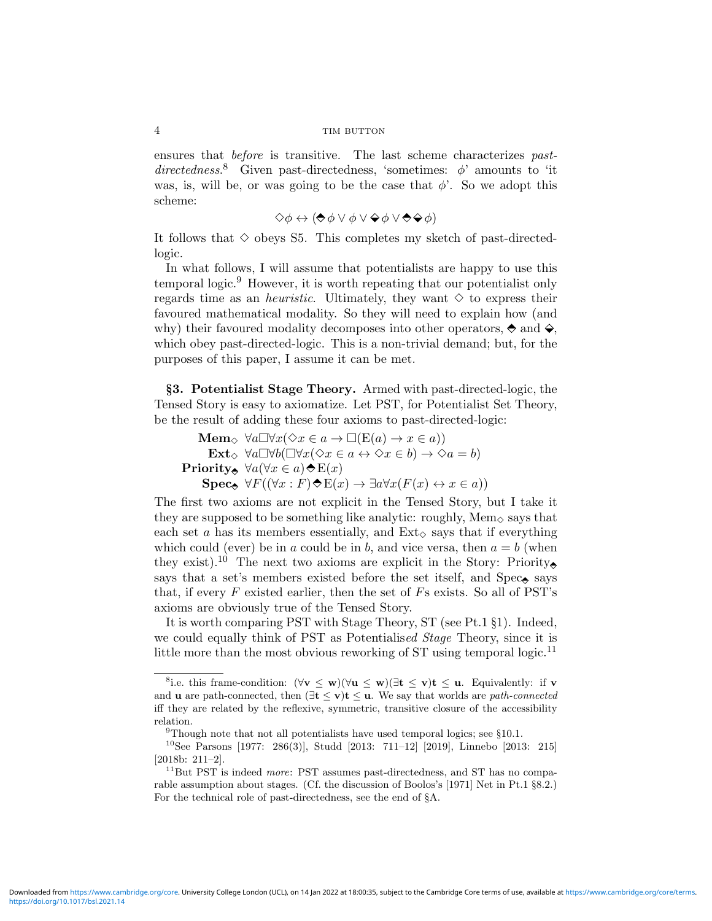ensures that before is transitive. The last scheme characterizes pastdirectedness.<sup>8</sup> Given past-directedness, 'sometimes:  $\phi$ ' amounts to 'it was, is, will be, or was going to be the case that  $\phi$ . So we adopt this scheme:

$$
\Diamond \phi \leftrightarrow (\bigdiamond \phi \lor \phi \lor \bigdiamond \phi \lor \bigdiamond \bigdiamond \phi)
$$

It follows that  $\diamond$  obeys S5. This completes my sketch of past-directedlogic.

In what follows, I will assume that potentialists are happy to use this temporal logic.<sup>9</sup> However, it is worth repeating that our potentialist only regards time as an *heuristic*. Ultimately, they want  $\diamond$  to express their favoured mathematical modality. So they will need to explain how (and why) their favoured modality decomposes into other operators,  $\Diamond$  and  $\Diamond$ , which obey past-directed-logic. This is a non-trivial demand; but, for the purposes of this paper, I assume it can be met.

§3. Potentialist Stage Theory. Armed with past-directed-logic, the Tensed Story is easy to axiomatize. Let PST, for Potentialist Set Theory, be the result of adding these four axioms to past-directed-logic:

Mem<sub> $\Diamond$ </sub>  $\forall a \Box \forall x (\Diamond x \in a \rightarrow \Box (\mathrm{E}(a) \rightarrow x \in a))$ Ext<sub> $\diamond \forall a \Box \forall b (\Box \forall x (\Diamond x \in a \leftrightarrow \Diamond x \in b) \rightarrow \Diamond a = b)$ </sub> Priority,  $\forall a (\forall x \in a) \land E(x)$  $\text{Spec}_{\mathfrak{S}} \forall F((\forall x : F) \Leftrightarrow E(x) \rightarrow \exists a \forall x (F(x) \leftrightarrow x \in a))$ 

The first two axioms are not explicit in the Tensed Story, but I take it they are supposed to be something like analytic: roughly,  $Mem_{\diamond}$  says that each set a has its members essentially, and  $Ext_{\diamond}$  says that if everything which could (ever) be in a could be in b, and vice versa, then  $a = b$  (when they exist).<sup>10</sup> The next two axioms are explicit in the Story: Priority. says that a set's members existed before the set itself, and  $Spec_{\mathbf{\hat{e}}}$  says that, if every  $F$  existed earlier, then the set of  $F_s$  exists. So all of PST's axioms are obviously true of the Tensed Story.

It is worth comparing PST with Stage Theory, ST (see Pt.1 §1). Indeed, we could equally think of PST as Potentialised Stage Theory, since it is little more than the most obvious reworking of  $ST$  using temporal logic.<sup>11</sup>

<sup>&</sup>lt;sup>8</sup>i.e. this frame-condition:  $(\forall v \leq w)(\forall u \leq w)$   $(\exists t \leq v)t \leq u$ . Equivalently: if v and **u** are path-connected, then  $(\exists t \leq v)t \leq u$ . We say that worlds are *path-connected* iff they are related by the reflexive, symmetric, transitive closure of the accessibility relation.

 $9$ Though note that not all potentialists have used temporal logics; see §10.1.

<sup>10</sup>See Parsons [1977: 286(3)], Studd [2013: 711–12] [2019], Linnebo [2013: 215] [2018b: 211–2].

 $11$ But PST is indeed *more*: PST assumes past-directedness, and ST has no comparable assumption about stages. (Cf. the discussion of Boolos's [1971] Net in Pt.1 §8.2.) For the technical role of past-directedness, see the end of §A.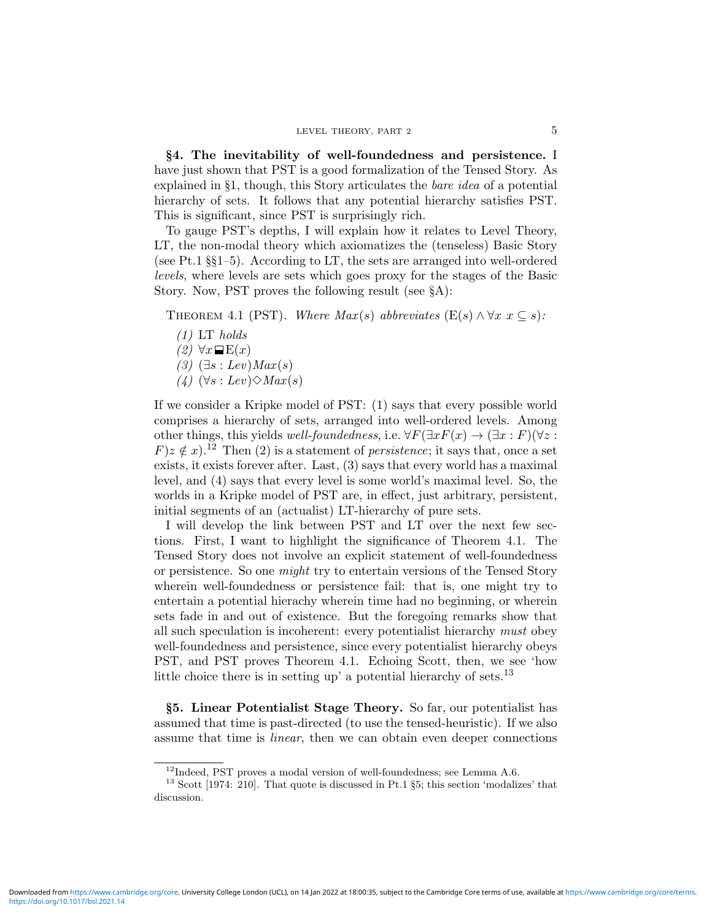§4. The inevitability of well-foundedness and persistence. I have just shown that PST is a good formalization of the Tensed Story. As explained in §1, though, this Story articulates the bare idea of a potential hierarchy of sets. It follows that any potential hierarchy satisfies PST. This is significant, since PST is surprisingly rich.

To gauge PST's depths, I will explain how it relates to Level Theory, LT, the non-modal theory which axiomatizes the (tenseless) Basic Story (see Pt.1 §§1–5). According to LT, the sets are arranged into well-ordered levels, where levels are sets which goes proxy for the stages of the Basic Story. Now, PST proves the following result (see §A):

THEOREM 4.1 (PST). Where  $Max(s)$  abbreviates  $(E(s) \wedge \forall x \ x \subseteq s)$ :

- $(1)$  LT holds
- $(2) \forall x \blacksquare E(x)$
- $(3)$   $(\exists s : Lev)$ *Max* $(s)$
- $(4)$   $(\forall s : Lev) \Diamond Max(s)$

If we consider a Kripke model of PST: (1) says that every possible world comprises a hierarchy of sets, arranged into well-ordered levels. Among other things, this yields well-foundedness, i.e.  $\forall F(\exists x F(x) \rightarrow (\exists x : F)(\forall z : F))$  $F(z \notin x)$ .<sup>12</sup> Then (2) is a statement of *persistence*; it says that, once a set exists, it exists forever after. Last, (3) says that every world has a maximal level, and (4) says that every level is some world's maximal level. So, the worlds in a Kripke model of PST are, in effect, just arbitrary, persistent, initial segments of an (actualist) LT-hierarchy of pure sets.

I will develop the link between PST and LT over the next few sections. First, I want to highlight the significance of Theorem 4.1. The Tensed Story does not involve an explicit statement of well-foundedness or persistence. So one *might* try to entertain versions of the Tensed Story wherein well-foundedness or persistence fail: that is, one might try to entertain a potential hierachy wherein time had no beginning, or wherein sets fade in and out of existence. But the foregoing remarks show that all such speculation is incoherent: every potentialist hierarchy must obey well-foundedness and persistence, since every potentialist hierarchy obeys PST, and PST proves Theorem 4.1. Echoing Scott, then, we see 'how little choice there is in setting up' a potential hierarchy of sets.<sup>13</sup>

§5. Linear Potentialist Stage Theory. So far, our potentialist has assumed that time is past-directed (to use the tensed-heuristic). If we also assume that time is linear, then we can obtain even deeper connections

 $12$ Indeed, PST proves a modal version of well-foundedness; see Lemma A.6.

<sup>13</sup> Scott [1974: 210]. That quote is discussed in Pt.1 §5; this section 'modalizes' that discussion.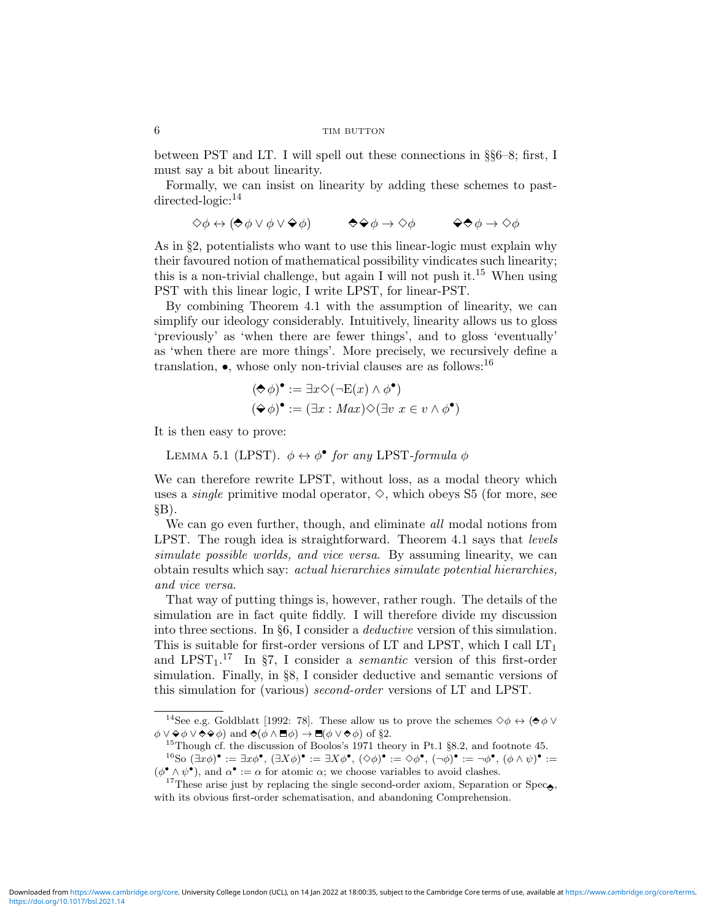between PST and LT. I will spell out these connections in §§6–8; first, I must say a bit about linearity.

Formally, we can insist on linearity by adding these schemes to pastdirected-logic:<sup>14</sup>

$$
\Diamond \phi \leftrightarrow (\Diamond \phi \lor \phi \lor \Diamond \phi) \qquad \Diamond \Diamond \phi \rightarrow \Diamond \phi \qquad \Diamond \Diamond \phi \rightarrow \Diamond \phi
$$

As in §2, potentialists who want to use this linear-logic must explain why their favoured notion of mathematical possibility vindicates such linearity; this is a non-trivial challenge, but again I will not push it.<sup>15</sup> When using PST with this linear logic, I write LPST, for linear-PST.

By combining Theorem 4.1 with the assumption of linearity, we can simplify our ideology considerably. Intuitively, linearity allows us to gloss 'previously' as 'when there are fewer things', and to gloss 'eventually' as 'when there are more things'. More precisely, we recursively define a translation,  $\bullet$ , whose only non-trivial clauses are as follows:  $^{16}$ 

$$
(\diamond \phi)^{\bullet} := \exists x \diamond (\neg E(x) \land \phi^{\bullet})
$$

$$
(\diamond \phi)^{\bullet} := (\exists x : Max) \diamond (\exists v \ x \in v \land \phi^{\bullet})
$$

It is then easy to prove:

LEMMA 5.1 (LPST).  $\phi \leftrightarrow \phi^{\bullet}$  for any LPST-formula  $\phi$ 

We can therefore rewrite LPST, without loss, as a modal theory which uses a *single* primitive modal operator,  $\diamond$ , which obeys S5 (for more, see  $\S B$ ).

We can go even further, though, and eliminate all modal notions from LPST. The rough idea is straightforward. Theorem 4.1 says that *levels* simulate possible worlds, and vice versa. By assuming linearity, we can obtain results which say: actual hierarchies simulate potential hierarchies, and vice versa.

That way of putting things is, however, rather rough. The details of the simulation are in fact quite fiddly. I will therefore divide my discussion into three sections. In §6, I consider a deductive version of this simulation. This is suitable for first-order versions of LT and LPST, which I call  $LT<sub>1</sub>$ and  $LPST_1$ .<sup>17</sup> In §7, I consider a *semantic* version of this first-order simulation. Finally, in §8, I consider deductive and semantic versions of this simulation for (various) second-order versions of LT and LPST.

<sup>&</sup>lt;sup>14</sup>See e.g. Goldblatt [1992: 78]. These allow us to prove the schemes  $\diamond \phi \leftrightarrow (\blacklozenge \phi \vee \theta)$  $\phi \lor \Diamond \phi \lor \Diamond \Diamond \phi)$  and  $\Diamond(\phi \land \Box \phi) \rightarrow \Box(\phi \lor \Diamond \phi)$  of §2.

 $^{15}\rm{Though}$  cf. the discussion of Boolos's 1971 theory in Pt.1 §8.2, and footnote 45.  $e^{16}$ So  $(\exists x \phi)^{\bullet} := \exists x \phi^{\bullet}, (\exists X \phi)^{\bullet} := \exists X \phi^{\bullet}, (\diamond \phi)^{\bullet} := \diamond \phi^{\bullet}, (\neg \phi)^{\bullet} := \neg \phi^{\bullet}, (\phi \wedge \psi)^{\bullet} :=$  $(\phi^{\bullet} \wedge \psi^{\bullet})$ , and  $\alpha^{\bullet} := \alpha$  for atomic  $\alpha$ ; we choose variables to avoid clashes.

<sup>&</sup>lt;sup>17</sup>These arise just by replacing the single second-order axiom, Separation or Spec $\bullet$ , with its obvious first-order schematisation, and abandoning Comprehension.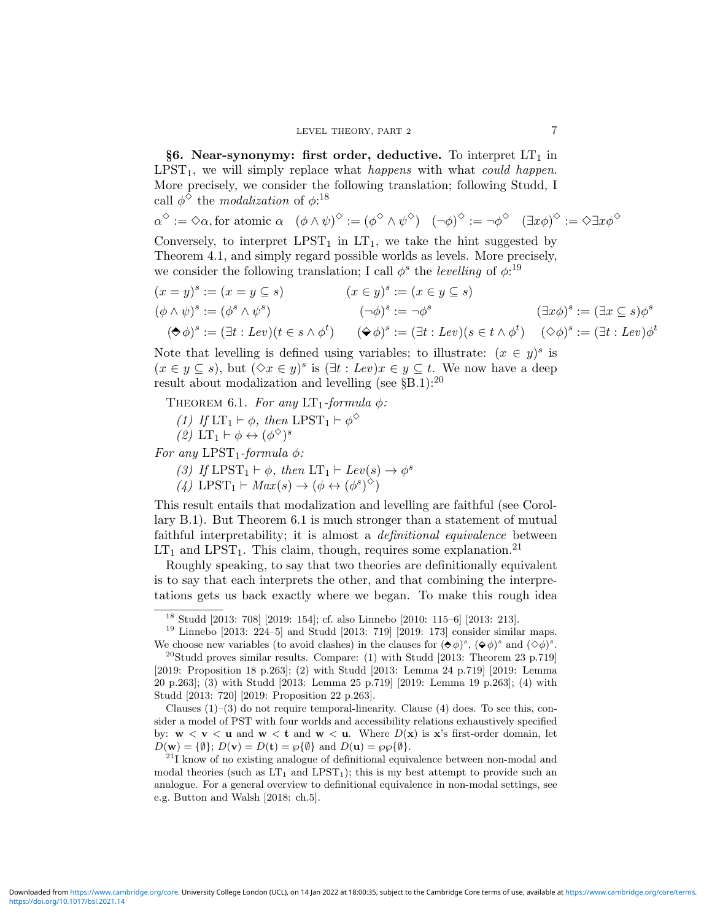§6. Near-synonymy: first order, deductive. To interpret  $LT<sub>1</sub>$  in  $LPST<sub>1</sub>$ , we will simply replace what happens with what could happen. More precisely, we consider the following translation; following Studd, I call  $\phi^{\diamond}$  the *modalization* of  $\phi$ <sup>18</sup>

 $\alpha^{\diamond} := \diamond \alpha$ , for atomic  $\alpha \quad (\phi \wedge \psi)^{\diamond} := (\phi^{\diamond} \wedge \psi^{\diamond}) \quad (\neg \phi)^{\diamond} := \neg \phi^{\diamond} \quad (\exists x \phi)^{\diamond} := \diamond \exists x \phi^{\diamond}$ Conversely, to interpret  $LPST_1$  in  $LT_1$ , we take the hint suggested by

Theorem 4.1, and simply regard possible worlds as levels. More precisely, we consider the following translation; I call  $\phi^s$  the *levelling* of  $\phi$ <sup>19</sup>

$$
(x = y)^s := (x = y \subseteq s) \qquad (x \in y)^s := (x \in y \subseteq s)
$$
  
\n
$$
(\phi \land \psi)^s := (\phi^s \land \psi^s) \qquad (\neg \phi)^s := \neg \phi^s \qquad (\exists x \phi)^s := (\exists x \subseteq s) \phi^s
$$
  
\n
$$
(\bigstar \phi)^s := (\exists t : Lev)(t \in s \land \phi^t) \qquad (\bigstar \phi)^s := (\exists t : Lev)(s \in t \land \phi^t) \qquad (\Diamond \phi)^s := (\exists t : Lev)\phi^t
$$

Note that levelling is defined using variables; to illustrate:  $(x \in y)^s$  is  $(x \in y \subseteq s)$ , but  $(\Diamond x \in y)^s$  is  $(\exists t : Lev)x \in y \subseteq t$ . We now have a deep result about modalization and levelling (see  $\S$ B.1):<sup>20</sup>

THEOREM 6.1. For any  $LT_1$ -formula  $\phi$ :

(1) If  $LT_1 \vdash \phi$ , then  $LPST_1 \vdash \phi^{\diamond}$ 

(2)  $LT_1 \vdash \phi \leftrightarrow (\phi^{\diamondsuit})^s$ 

For any LPST<sub>1</sub>-formula  $\phi$ :

(3) If  $LPST_1 \vdash \phi$ , then  $LT_1 \vdash Lev(s) \rightarrow \phi^s$ 

(4) LPST<sub>1</sub>  $\vdash Max(s) \rightarrow (\phi \leftrightarrow (\phi^s)^{\diamond})$ 

This result entails that modalization and levelling are faithful (see Corollary B.1). But Theorem 6.1 is much stronger than a statement of mutual faithful interpretability; it is almost a *definitional equivalence* between  $LT<sub>1</sub>$  and LPST<sub>1</sub>. This claim, though, requires some explanation.<sup>21</sup>

Roughly speaking, to say that two theories are definitionally equivalent is to say that each interprets the other, and that combining the interpretations gets us back exactly where we began. To make this rough idea

Clauses  $(1)$ – $(3)$  do not require temporal-linearity. Clause  $(4)$  does. To see this, consider a model of PST with four worlds and accessibility relations exhaustively specified by:  $w < v < u$  and  $w < t$  and  $w < u$ . Where  $D(x)$  is x's first-order domain, let  $D(\mathbf{w}) = {\emptyset}; D(\mathbf{v}) = D(\mathbf{t}) = \wp{\emptyset}$  and  $D(\mathbf{u}) = \wp{\emptyset} {\emptyset}.$ 

<sup>18</sup> Studd [2013: 708] [2019: 154]; cf. also Linnebo [2010: 115–6] [2013: 213].

 $19$  Linnebo [2013: 224–5] and Studd [2013: 719] [2019: 173] consider similar maps. We choose new variables (to avoid clashes) in the clauses for  $(\blacklozenge \phi)^s$ ,  $(\blacklozenge \phi)^s$  and  $(\Diamond \phi)^s$ .

 $^{20}$ Studd proves similar results. Compare: (1) with Studd [2013: Theorem 23 p.719] [2019: Proposition 18 p.263]; (2) with Studd [2013: Lemma 24 p.719] [2019: Lemma 20 p.263]; (3) with Studd [2013: Lemma 25 p.719] [2019: Lemma 19 p.263]; (4) with Studd [2013: 720] [2019: Proposition 22 p.263].

 $2<sup>11</sup>$  know of no existing analogue of definitional equivalence between non-modal and modal theories (such as  $LT_1$  and  $LPST_1$ ); this is my best attempt to provide such an analogue. For a general overview to definitional equivalence in non-modal settings, see e.g. Button and Walsh [2018: ch.5].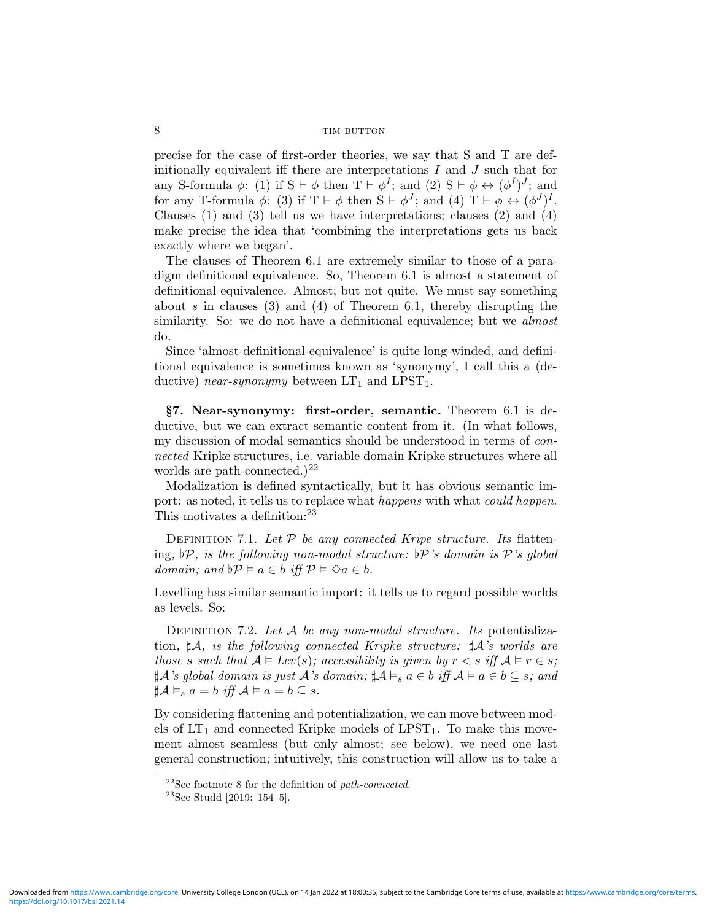precise for the case of first-order theories, we say that S and T are definitionally equivalent iff there are interpretations  $I$  and  $J$  such that for any S-formula  $\phi$ : (1) if  $S \vdash \phi$  then  $T \vdash \phi^I$ ; and (2)  $S \vdash \phi \leftrightarrow (\phi^I)^J$ ; and for any T-formula  $\phi$ : (3) if  $T \vdash \phi$  then  $S \vdash \phi^J$ ; and (4)  $T \vdash \phi \leftrightarrow (\phi^J)^I$ . Clauses (1) and (3) tell us we have interpretations; clauses (2) and (4) make precise the idea that 'combining the interpretations gets us back exactly where we began'.

The clauses of Theorem 6.1 are extremely similar to those of a paradigm definitional equivalence. So, Theorem 6.1 is almost a statement of definitional equivalence. Almost; but not quite. We must say something about s in clauses (3) and (4) of Theorem 6.1, thereby disrupting the similarity. So: we do not have a definitional equivalence; but we *almost* do.

Since 'almost-definitional-equivalence' is quite long-winded, and definitional equivalence is sometimes known as 'synonymy', I call this a (deductive) near-synonymy between  $LT_1$  and  $LPST_1$ .

§7. Near-synonymy: first-order, semantic. Theorem 6.1 is deductive, but we can extract semantic content from it. (In what follows, my discussion of modal semantics should be understood in terms of connected Kripke structures, i.e. variable domain Kripke structures where all worlds are path-connected.)<sup>22</sup>

Modalization is defined syntactically, but it has obvious semantic import: as noted, it tells us to replace what happens with what could happen. This motivates a definition:<sup>23</sup>

DEFINITION 7.1. Let  $P$  be any connected Kripe structure. Its flattening,  $\mathcal{P}$ , is the following non-modal structure:  $\mathcal{P}'$ 's domain is P's global domain; and  $\ntriangleright \mathcal{P} \models a \in b$  iff  $\mathcal{P} \models \Diamond a \in b$ .

Levelling has similar semantic import: it tells us to regard possible worlds as levels. So:

DEFINITION 7.2. Let  $A$  be any non-modal structure. Its potentialization,  $\sharp \mathcal{A}$ , is the following connected Kripke structure:  $\sharp \mathcal{A}$ 's worlds are those s such that  $A \models Lev(s)$ ; accessibility is given by  $r < s$  iff  $A \models r \in s$ ;  $\sharp \mathcal{A}$ 's global domain is just  $\mathcal{A}$ 's domain;  $\sharp \mathcal{A} \vDash_s a \in b$  iff  $\mathcal{A} \vDash a \in b \subseteq s$ ; and  $\sharp \mathcal{A} \vDash_s a = b$  iff  $\mathcal{A} \vDash a = b \subseteq s$ .

By considering flattening and potentialization, we can move between models of  $LT_1$  and connected Kripke models of  $LPST_1$ . To make this movement almost seamless (but only almost; see below), we need one last general construction; intuitively, this construction will allow us to take a

 $22$ See footnote 8 for the definition of path-connected.

 $23$ See Studd [2019: 154–5].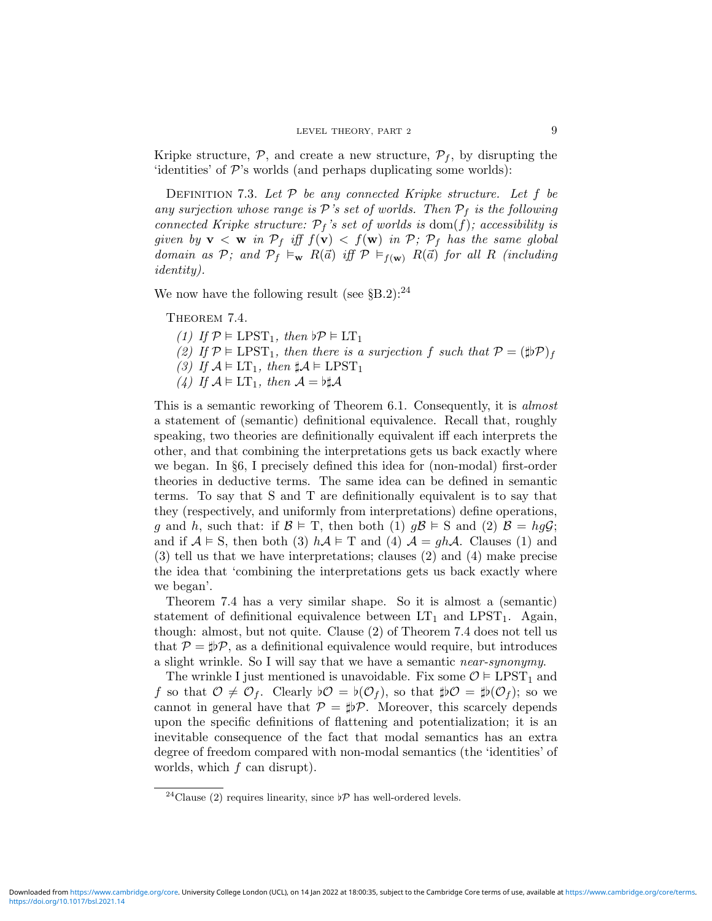Kripke structure,  $P$ , and create a new structure,  $P_f$ , by disrupting the  $\check{\text{identities}}$  of  $\mathcal{P}\text{'s}$  worlds (and perhaps duplicating some worlds):

DEFINITION 7.3. Let  $P$  be any connected Kripke structure. Let  $f$  be any surjection whose range is  $\mathcal{P}'s$  set of worlds. Then  $\mathcal{P}_f$  is the following connected Kripke structure:  $\mathcal{P}_f$ 's set of worlds is dom(f); accessibility is given by  $\mathbf{v} < \mathbf{w}$  in  $\mathcal{P}_f$  iff  $f(\mathbf{v}) < f(\mathbf{w})$  in  $\mathcal{P}_f$ ;  $\mathcal{P}_f$  has the same global domain as P; and  $P_f \vDash_{\mathbf{w}} R(\vec{a})$  iff  $P \vDash_{f(\mathbf{w})} R(\vec{a})$  for all R (including identity).

We now have the following result (see  $\S B.2$ ):<sup>24</sup>

THEOREM 7.4.

(1) If  $\mathcal{P} \models \text{LPST}_1$ , then  $\flat \mathcal{P} \models \text{LT}_1$ 

(2) If  $\mathcal{P} \models \text{LPST}_1$ , then there is a surjection f such that  $\mathcal{P} = (\sharp \flat \mathcal{P})_f$ 

(3) If  $A \models LT_1$ , then  $\sharp A \models LPST_1$ 

(4) If  $A \models \mathop{\rm LT}\nolimits_1$ , then  $A = \flat \sharp A$ 

This is a semantic reworking of Theorem 6.1. Consequently, it is *almost* a statement of (semantic) definitional equivalence. Recall that, roughly speaking, two theories are definitionally equivalent iff each interprets the other, and that combining the interpretations gets us back exactly where we began. In §6, I precisely defined this idea for (non-modal) first-order theories in deductive terms. The same idea can be defined in semantic terms. To say that S and T are definitionally equivalent is to say that they (respectively, and uniformly from interpretations) define operations, q and h, such that: if  $\mathcal{B} \models T$ , then both (1)  $q\mathcal{B} \models S$  and (2)  $\mathcal{B} = hq\mathcal{G}$ ; and if  $A \models S$ , then both (3)  $hA \models T$  and (4)  $A = ghA$ . Clauses (1) and (3) tell us that we have interpretations; clauses (2) and (4) make precise the idea that 'combining the interpretations gets us back exactly where we began'.

Theorem 7.4 has a very similar shape. So it is almost a (semantic) statement of definitional equivalence between  $LT_1$  and  $LPST_1$ . Again, though: almost, but not quite. Clause (2) of Theorem 7.4 does not tell us that  $P = \sharp \flat P$ , as a definitional equivalence would require, but introduces a slight wrinkle. So I will say that we have a semantic near-synonymy.

The wrinkle I just mentioned is unavoidable. Fix some  $\mathcal{O} \models \text{LPST}_1$  and f so that  $\mathcal{O} \neq \mathcal{O}_f$ . Clearly  $\flat \mathcal{O} = \flat(\mathcal{O}_f)$ , so that  $\sharp \flat \mathcal{O} = \sharp \flat(\mathcal{O}_f)$ ; so we cannot in general have that  $P = \sharp \mathcal{P}$ . Moreover, this scarcely depends upon the specific definitions of flattening and potentialization; it is an inevitable consequence of the fact that modal semantics has an extra degree of freedom compared with non-modal semantics (the 'identities' of worlds, which  $f$  can disrupt).

<sup>&</sup>lt;sup>24</sup>Clause (2) requires linearity, since  $\flat \mathcal{P}$  has well-ordered levels.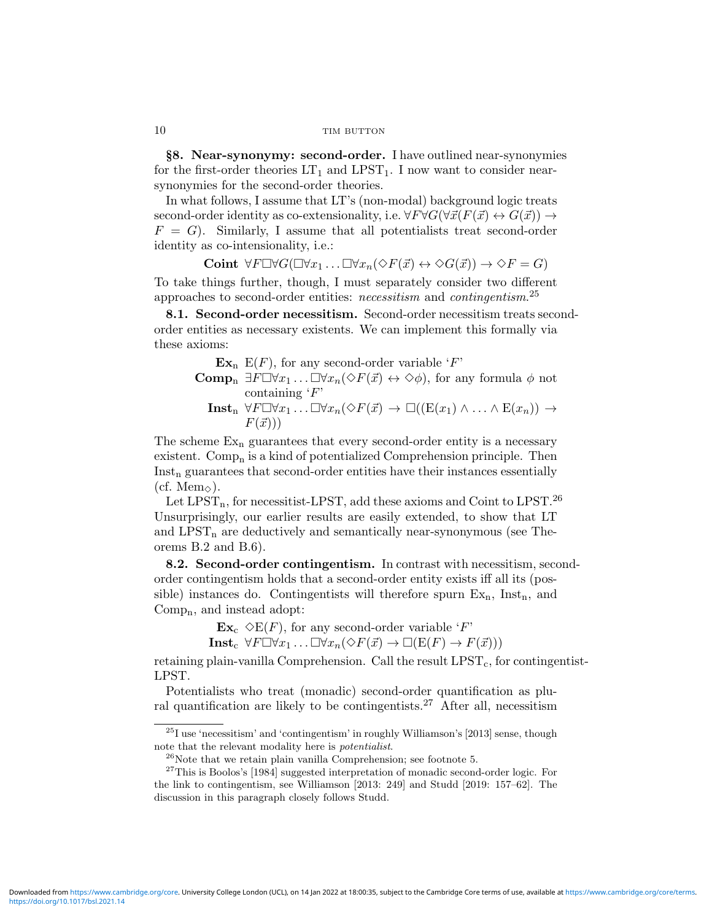§8. Near-synonymy: second-order. I have outlined near-synonymies for the first-order theories  $LT_1$  and  $LPST_1$ . I now want to consider nearsynonymies for the second-order theories.

In what follows, I assume that LT's (non-modal) background logic treats second-order identity as co-extensionality, i.e.  $\forall F \forall G (\forall \vec{x}(F(\vec{x}) \leftrightarrow G(\vec{x})) \rightarrow$  $F = G$ . Similarly, I assume that all potentialists treat second-order identity as co-intensionality, i.e.:

Coint  $\forall F \Box \forall G (\Box \forall x_1 \ldots \Box \forall x_n (\Diamond F(\vec{x}) \leftrightarrow \Diamond G(\vec{x})) \rightarrow \Diamond F = G)$ 

To take things further, though, I must separately consider two different approaches to second-order entities: *necessitism* and *contingentism*.<sup>25</sup>

8.1. Second-order necessitism. Second-order necessitism treats secondorder entities as necessary existents. We can implement this formally via these axioms:

 $\mathbf{Ex}_{n}$  E(F), for any second-order variable 'F' **Comp**<sub>n</sub>  $\exists F\Box\forall x_1 \ldots \Box\forall x_n(\Diamond F(\vec{x}) \leftrightarrow \Diamond \phi)$ , for any formula  $\phi$  not

containing  $F'$ 

**Inst**<sub>n</sub>  $\forall F \Box \forall x_1 \ldots \Box \forall x_n (\Diamond F(\vec{x}) \rightarrow \Box ((E(x_1) \land \ldots \land E(x_n))) \rightarrow$  $F(\vec{x}))$ 

The scheme  $Ex_n$  guarantees that every second-order entity is a necessary existent. Comp<sub>n</sub> is a kind of potentialized Comprehension principle. Then  $Inst<sub>n</sub> guarantees that second-order entities have their instances essentially$ (cf. Mem $\Diamond$ ).

Let  $LPST_n$ , for necessitist-LPST, add these axioms and Coint to LPST.<sup>26</sup> Unsurprisingly, our earlier results are easily extended, to show that LT and  $LPST_n$  are deductively and semantically near-synonymous (see Theorems B.2 and B.6).

8.2. Second-order contingentism. In contrast with necessitism, secondorder contingentism holds that a second-order entity exists iff all its (possible) instances do. Contingentists will therefore spurn  $Ex_n$ , Inst<sub>n</sub>, and Compn, and instead adopt:

 $\mathbf{Ex}_{\rm c} \triangle E(F)$ , for any second-order variable 'F'

 $\text{Inst}_{\text{c}} \ \forall F \Box \forall x_1 \ldots \Box \forall x_n (\Diamond F(\vec{x}) \to \Box (\text{E}(F) \to F(\vec{x})))$ 

retaining plain-vanilla Comprehension. Call the result  $LPST<sub>c</sub>$ , for contingentist-LPST.

Potentialists who treat (monadic) second-order quantification as plural quantification are likely to be contingentists.<sup>27</sup> After all, necessitism

 $^{25}\mathrm{I}$  use 'necessitism' and 'contingentism' in roughly Williamson's [2013] sense, though note that the relevant modality here is potentialist.

 $^{26}$ Note that we retain plain vanilla Comprehension; see footnote 5.

 $27$ This is Boolos's [1984] suggested interpretation of monadic second-order logic. For the link to contingentism, see Williamson [2013: 249] and Studd [2019: 157–62]. The discussion in this paragraph closely follows Studd.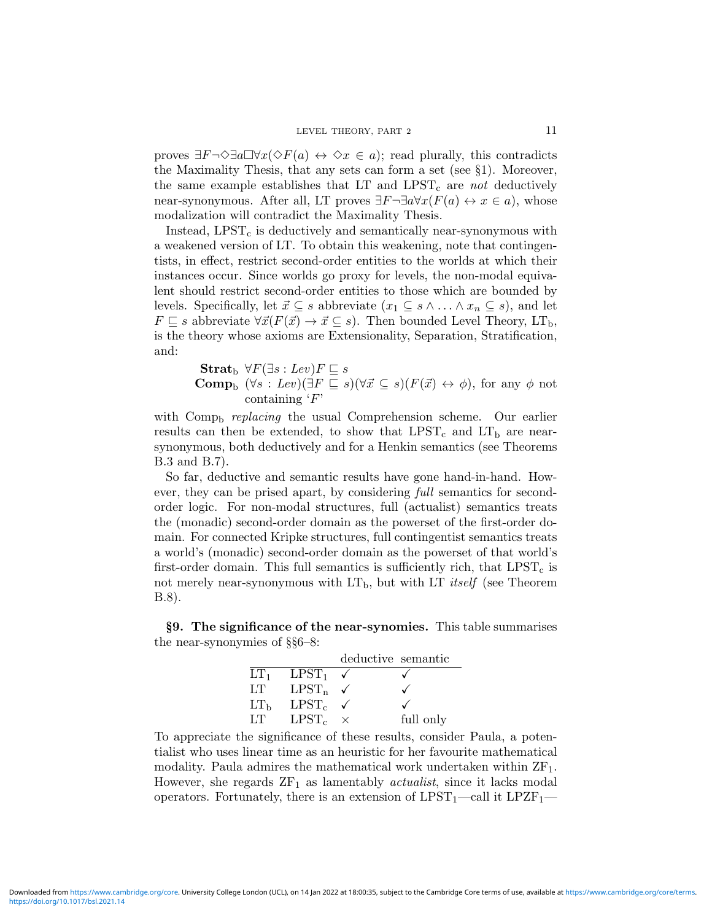proves  $\exists F\neg \Diamond \exists a \Box \forall x (\Diamond F(a) \leftrightarrow \Diamond x \in a)$ ; read plurally, this contradicts the Maximality Thesis, that any sets can form a set (see §1). Moreover, the same example establishes that LT and  $LPST_c$  are not deductively near-synonymous. After all, LT proves  $\exists F\neg \exists a \forall x (F(a) \leftrightarrow x \in a)$ , whose modalization will contradict the Maximality Thesis.

Instead,  $LPST_c$  is deductively and semantically near-synonymous with a weakened version of LT. To obtain this weakening, note that contingentists, in effect, restrict second-order entities to the worlds at which their instances occur. Since worlds go proxy for levels, the non-modal equivalent should restrict second-order entities to those which are bounded by levels. Specifically, let  $\vec{x} \subseteq s$  abbreviate  $(x_1 \subseteq s \land \dots \land x_n \subseteq s)$ , and let  $F \sqsubseteq s$  abbreviate  $\forall \vec{x}(F(\vec{x}) \rightarrow \vec{x} \subseteq s)$ . Then bounded Level Theory, LT<sub>b</sub>, is the theory whose axioms are Extensionality, Separation, Stratification, and:

Strat<sub>b</sub>  $\forall F(\exists s : Lev)F \sqsubseteq s$ **Comp**<sub>b</sub>  $(\forall s : Lev)(\exists F \sqsubseteq s)(\forall \vec{x} \subseteq s)(F(\vec{x}) \leftrightarrow \phi)$ , for any  $\phi$  not containing  $\cdot$ F'

with  $Comp_b$  *replacing* the usual Comprehension scheme. Our earlier results can then be extended, to show that  $LPST_c$  and  $LT_b$  are nearsynonymous, both deductively and for a Henkin semantics (see Theorems B.3 and B.7).

So far, deductive and semantic results have gone hand-in-hand. However, they can be prised apart, by considering full semantics for secondorder logic. For non-modal structures, full (actualist) semantics treats the (monadic) second-order domain as the powerset of the first-order domain. For connected Kripke structures, full contingentist semantics treats a world's (monadic) second-order domain as the powerset of that world's first-order domain. This full semantics is sufficiently rich, that  $LPST_c$  is not merely near-synonymous with  $LT_b$ , but with LT *itself* (see Theorem B.8).

§9. The significance of the near-synomies. This table summarises the near-synonymies of §§6–8:

|                 |                           | deductive semantic |           |
|-----------------|---------------------------|--------------------|-----------|
| LT <sub>1</sub> | $L\mathrm{PST}_1$         |                    |           |
| LT.             | $LPST_n \quad \checkmark$ |                    |           |
| LT <sub>b</sub> | $L\text{PST}_c$           |                    |           |
| LТ              | $LPST_c$                  |                    | full only |

To appreciate the significance of these results, consider Paula, a potentialist who uses linear time as an heuristic for her favourite mathematical modality. Paula admires the mathematical work undertaken within  $ZF_1$ . However, she regards  $ZF_1$  as lamentably *actualist*, since it lacks modal operators. Fortunately, there is an extension of  $LPST_1$ —call it  $LPZF_1$ —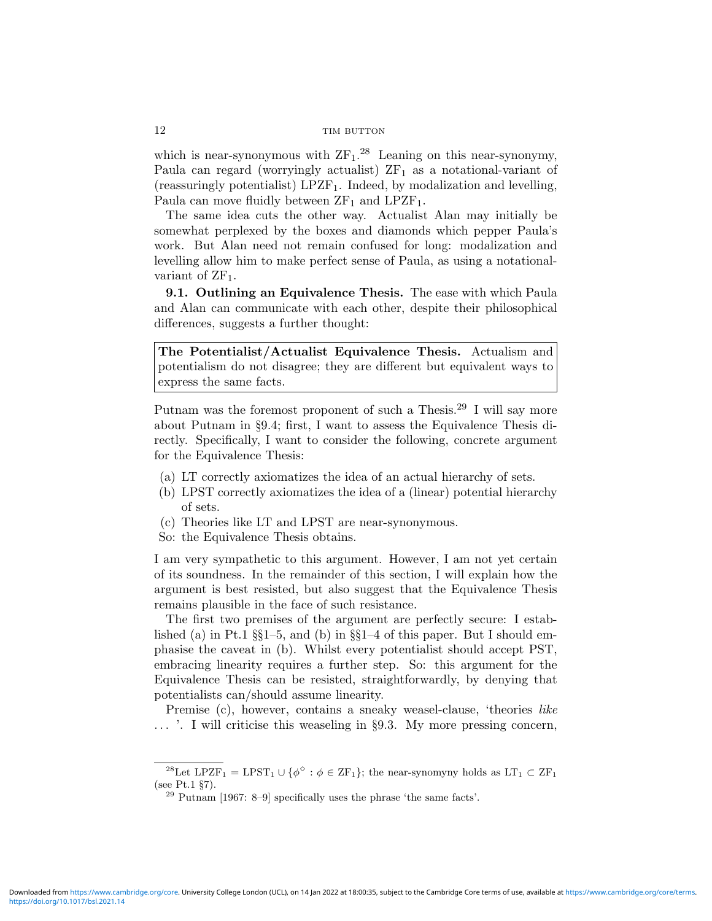which is near-synonymous with  $ZF_1$ .<sup>28</sup> Leaning on this near-synonymy, Paula can regard (worryingly actualist)  $ZF_1$  as a notational-variant of (reassuringly potentialist)  $LPZF_1$ . Indeed, by modalization and levelling, Paula can move fluidly between  $ZF_1$  and  $LPZF_1$ .

The same idea cuts the other way. Actualist Alan may initially be somewhat perplexed by the boxes and diamonds which pepper Paula's work. But Alan need not remain confused for long: modalization and levelling allow him to make perfect sense of Paula, as using a notationalvariant of  $ZF_1$ .

9.1. Outlining an Equivalence Thesis. The ease with which Paula and Alan can communicate with each other, despite their philosophical differences, suggests a further thought:

The Potentialist/Actualist Equivalence Thesis. Actualism and potentialism do not disagree; they are different but equivalent ways to express the same facts.

Putnam was the foremost proponent of such a Thesis.<sup>29</sup> I will say more about Putnam in §9.4; first, I want to assess the Equivalence Thesis directly. Specifically, I want to consider the following, concrete argument for the Equivalence Thesis:

- (a) LT correctly axiomatizes the idea of an actual hierarchy of sets.
- (b) LPST correctly axiomatizes the idea of a (linear) potential hierarchy of sets.
- (c) Theories like LT and LPST are near-synonymous.
- So: the Equivalence Thesis obtains.

I am very sympathetic to this argument. However, I am not yet certain of its soundness. In the remainder of this section, I will explain how the argument is best resisted, but also suggest that the Equivalence Thesis remains plausible in the face of such resistance.

The first two premises of the argument are perfectly secure: I established (a) in Pt.1  $\S1-5$ , and (b) in  $\S1-4$  of this paper. But I should emphasise the caveat in (b). Whilst every potentialist should accept PST, embracing linearity requires a further step. So: this argument for the Equivalence Thesis can be resisted, straightforwardly, by denying that potentialists can/should assume linearity.

Premise (c), however, contains a sneaky weasel-clause, 'theories like ... '. I will criticise this weaseling in §9.3. My more pressing concern,

<sup>&</sup>lt;sup>28</sup>Let LPZF<sub>1</sub> = LPST<sub>1</sub> ∪ { $\phi^{\diamond}$  :  $\phi \in \text{ZF}_1$ }; the near-synomyny holds as LT<sub>1</sub> ⊂ ZF<sub>1</sub> (see Pt.1 §7).

 $^{29}$  Putnam [1967: 8–9] specifically uses the phrase 'the same facts'.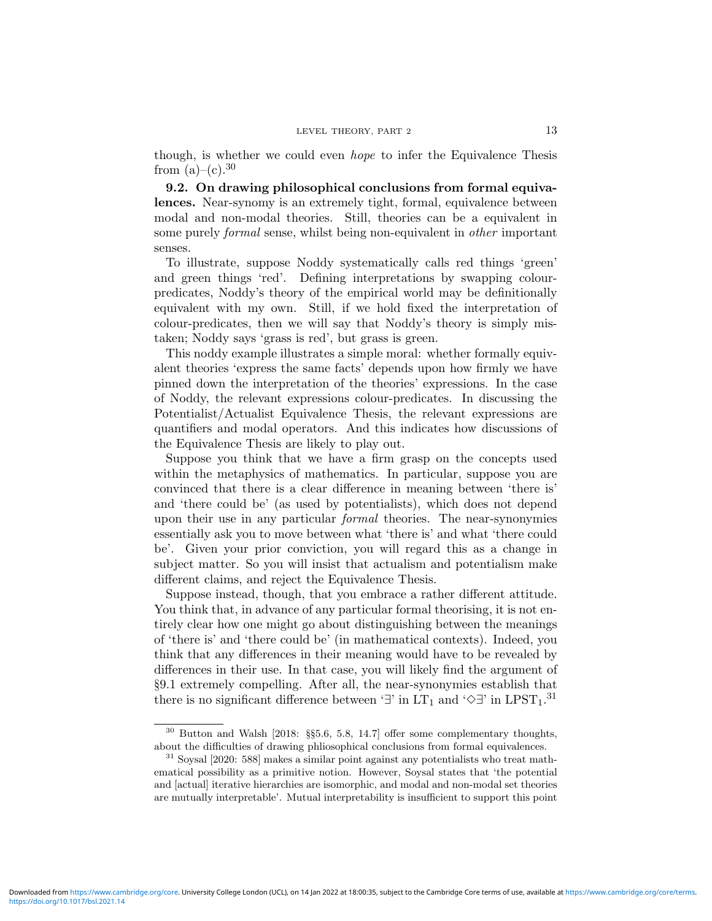though, is whether we could even hope to infer the Equivalence Thesis from  $(a)-(c).^{30}$ 

9.2. On drawing philosophical conclusions from formal equivalences. Near-synomy is an extremely tight, formal, equivalence between modal and non-modal theories. Still, theories can be a equivalent in some purely *formal* sense, whilst being non-equivalent in *other* important senses.

To illustrate, suppose Noddy systematically calls red things 'green' and green things 'red'. Defining interpretations by swapping colourpredicates, Noddy's theory of the empirical world may be definitionally equivalent with my own. Still, if we hold fixed the interpretation of colour-predicates, then we will say that Noddy's theory is simply mistaken; Noddy says 'grass is red', but grass is green.

This noddy example illustrates a simple moral: whether formally equivalent theories 'express the same facts' depends upon how firmly we have pinned down the interpretation of the theories' expressions. In the case of Noddy, the relevant expressions colour-predicates. In discussing the Potentialist/Actualist Equivalence Thesis, the relevant expressions are quantifiers and modal operators. And this indicates how discussions of the Equivalence Thesis are likely to play out.

Suppose you think that we have a firm grasp on the concepts used within the metaphysics of mathematics. In particular, suppose you are convinced that there is a clear difference in meaning between 'there is' and 'there could be' (as used by potentialists), which does not depend upon their use in any particular formal theories. The near-synonymies essentially ask you to move between what 'there is' and what 'there could be'. Given your prior conviction, you will regard this as a change in subject matter. So you will insist that actualism and potentialism make different claims, and reject the Equivalence Thesis.

Suppose instead, though, that you embrace a rather different attitude. You think that, in advance of any particular formal theorising, it is not entirely clear how one might go about distinguishing between the meanings of 'there is' and 'there could be' (in mathematical contexts). Indeed, you think that any differences in their meaning would have to be revealed by differences in their use. In that case, you will likely find the argument of §9.1 extremely compelling. After all, the near-synonymies establish that there is no significant difference between '∃' in  $LT_1$  and ' $\diamond$ ∃' in LPST<sub>1</sub>.<sup>31</sup>

<sup>30</sup> Button and Walsh [2018: §§5.6, 5.8, 14.7] offer some complementary thoughts, about the difficulties of drawing phliosophical conclusions from formal equivalences.

<sup>31</sup> Soysal [2020: 588] makes a similar point against any potentialists who treat mathematical possibility as a primitive notion. However, Soysal states that 'the potential and [actual] iterative hierarchies are isomorphic, and modal and non-modal set theories are mutually interpretable'. Mutual interpretability is insufficient to support this point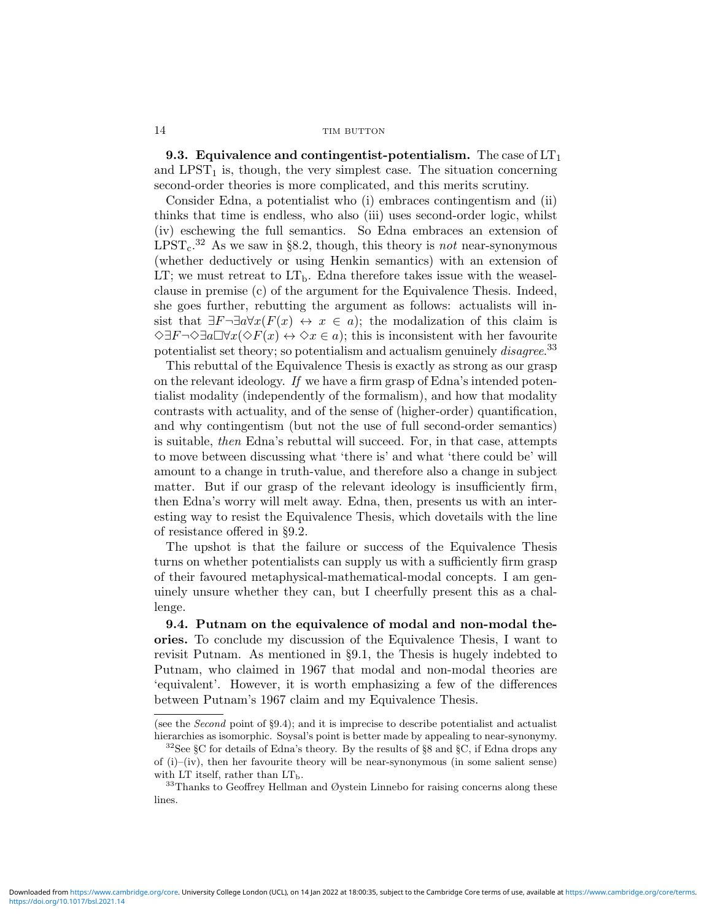**9.3. Equivalence and contingentist-potentialism.** The case of  $LT<sub>1</sub>$ and  $LPST<sub>1</sub>$  is, though, the very simplest case. The situation concerning second-order theories is more complicated, and this merits scrutiny.

Consider Edna, a potentialist who (i) embraces contingentism and (ii) thinks that time is endless, who also (iii) uses second-order logic, whilst (iv) eschewing the full semantics. So Edna embraces an extension of  $LPST<sub>c</sub>$ .<sup>32</sup> As we saw in §8.2, though, this theory is *not* near-synonymous (whether deductively or using Henkin semantics) with an extension of LT; we must retreat to  $LT<sub>b</sub>$ . Edna therefore takes issue with the weaselclause in premise (c) of the argument for the Equivalence Thesis. Indeed, she goes further, rebutting the argument as follows: actualists will insist that  $\exists F\neg \exists a \forall x (F(x) \leftrightarrow x \in a)$ ; the modalization of this claim is  $\Diamond \exists F \neg \Diamond \exists a \Box \forall x (\Diamond F(x) \leftrightarrow \Diamond x \in a)$ ; this is inconsistent with her favourite potentialist set theory; so potentialism and actualism genuinely *disagree*.<sup>33</sup>

This rebuttal of the Equivalence Thesis is exactly as strong as our grasp on the relevant ideology. If we have a firm grasp of Edna's intended potentialist modality (independently of the formalism), and how that modality contrasts with actuality, and of the sense of (higher-order) quantification, and why contingentism (but not the use of full second-order semantics) is suitable, then Edna's rebuttal will succeed. For, in that case, attempts to move between discussing what 'there is' and what 'there could be' will amount to a change in truth-value, and therefore also a change in subject matter. But if our grasp of the relevant ideology is insufficiently firm, then Edna's worry will melt away. Edna, then, presents us with an interesting way to resist the Equivalence Thesis, which dovetails with the line of resistance offered in §9.2.

The upshot is that the failure or success of the Equivalence Thesis turns on whether potentialists can supply us with a sufficiently firm grasp of their favoured metaphysical-mathematical-modal concepts. I am genuinely unsure whether they can, but I cheerfully present this as a challenge.

9.4. Putnam on the equivalence of modal and non-modal theories. To conclude my discussion of the Equivalence Thesis, I want to revisit Putnam. As mentioned in §9.1, the Thesis is hugely indebted to Putnam, who claimed in 1967 that modal and non-modal theories are 'equivalent'. However, it is worth emphasizing a few of the differences between Putnam's 1967 claim and my Equivalence Thesis.

<sup>(</sup>see the Second point of §9.4); and it is imprecise to describe potentialist and actualist hierarchies as isomorphic. Soysal's point is better made by appealing to near-synonymy.

 $32$ See §C for details of Edna's theory. By the results of §8 and §C, if Edna drops any of (i)–(iv), then her favourite theory will be near-synonymous (in some salient sense) with LT itself, rather than  $LT<sub>b</sub>$ .

 $33$ Thanks to Geoffrey Hellman and Øystein Linnebo for raising concerns along these lines.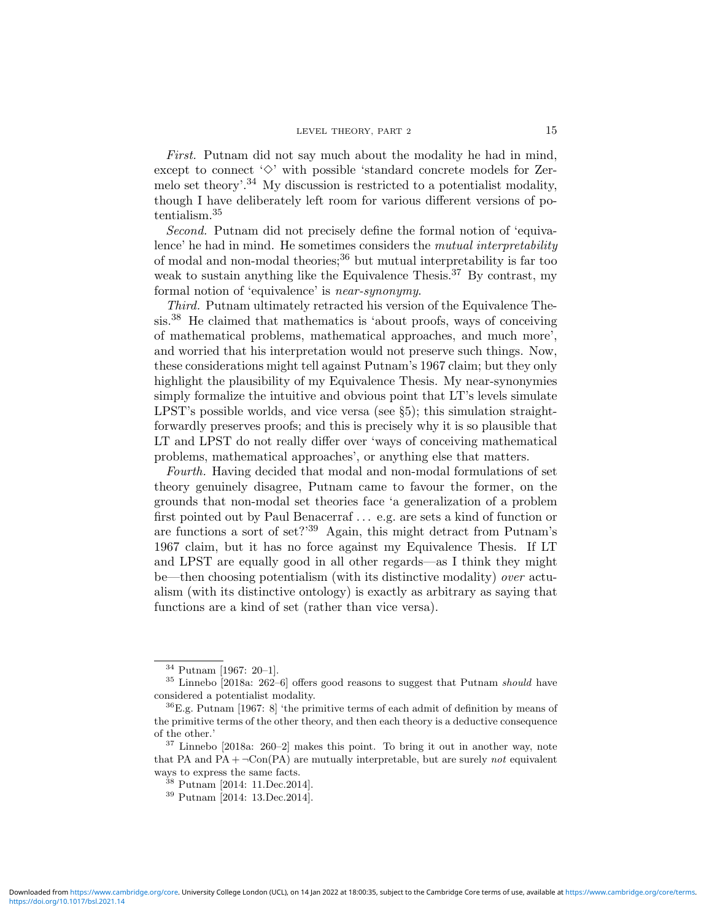First. Putnam did not say much about the modality he had in mind, except to connect  $\Diamond$  with possible 'standard concrete models for Zermelo set theory'.<sup>34</sup> My discussion is restricted to a potentialist modality, though I have deliberately left room for various different versions of potentialism.<sup>35</sup>

Second. Putnam did not precisely define the formal notion of 'equivalence' he had in mind. He sometimes considers the *mutual interpretability* of modal and non-modal theories;<sup>36</sup> but mutual interpretability is far too weak to sustain anything like the Equivalence Thesis.<sup>37</sup> By contrast, my formal notion of 'equivalence' is near-synonymy.

Third. Putnam ultimately retracted his version of the Equivalence Thesis.<sup>38</sup> He claimed that mathematics is 'about proofs, ways of conceiving of mathematical problems, mathematical approaches, and much more', and worried that his interpretation would not preserve such things. Now, these considerations might tell against Putnam's 1967 claim; but they only highlight the plausibility of my Equivalence Thesis. My near-synonymies simply formalize the intuitive and obvious point that LT's levels simulate LPST's possible worlds, and vice versa (see §5); this simulation straightforwardly preserves proofs; and this is precisely why it is so plausible that LT and LPST do not really differ over 'ways of conceiving mathematical problems, mathematical approaches', or anything else that matters.

Fourth. Having decided that modal and non-modal formulations of set theory genuinely disagree, Putnam came to favour the former, on the grounds that non-modal set theories face 'a generalization of a problem first pointed out by Paul Benacerraf . . . e.g. are sets a kind of function or are functions a sort of set?'<sup>39</sup> Again, this might detract from Putnam's 1967 claim, but it has no force against my Equivalence Thesis. If LT and LPST are equally good in all other regards—as I think they might be—then choosing potentialism (with its distinctive modality) over actualism (with its distinctive ontology) is exactly as arbitrary as saying that functions are a kind of set (rather than vice versa).

<sup>34</sup> Putnam [1967: 20–1].

 $35$  Linnebo [2018a: 262–6] offers good reasons to suggest that Putnam should have considered a potentialist modality.

 ${}^{36}E.g.$  Putnam [1967: 8] 'the primitive terms of each admit of definition by means of the primitive terms of the other theory, and then each theory is a deductive consequence of the other.'

 $37$  Linnebo [2018a: 260–2] makes this point. To bring it out in another way, note that PA and PA +  $\neg Con(PA)$  are mutually interpretable, but are surely not equivalent ways to express the same facts.

<sup>38</sup> Putnam [2014: 11.Dec.2014].

<sup>39</sup> Putnam [2014: 13.Dec.2014].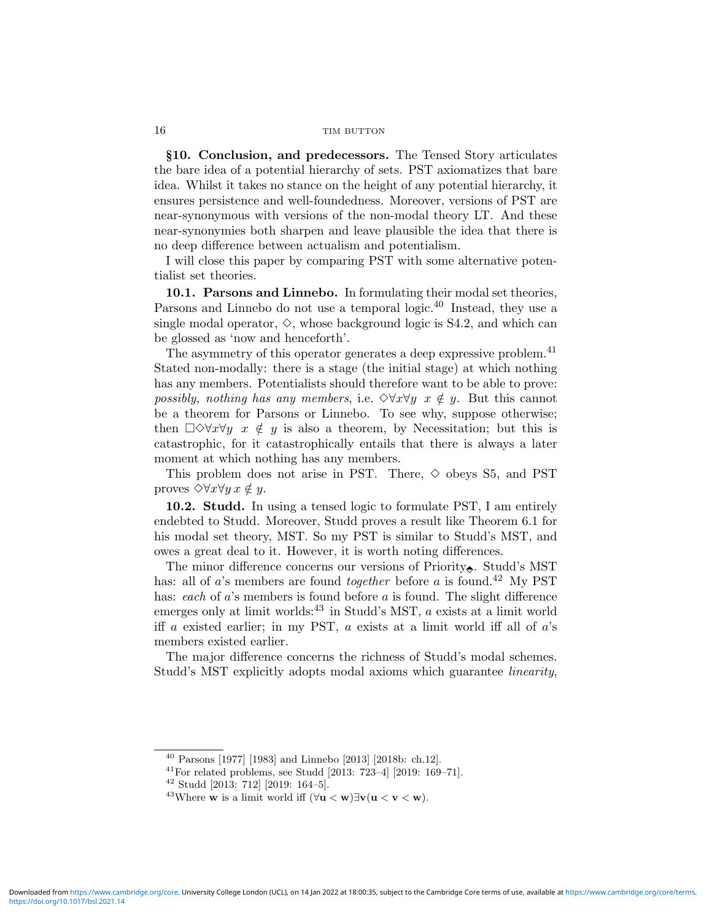§10. Conclusion, and predecessors. The Tensed Story articulates the bare idea of a potential hierarchy of sets. PST axiomatizes that bare idea. Whilst it takes no stance on the height of any potential hierarchy, it ensures persistence and well-foundedness. Moreover, versions of PST are near-synonymous with versions of the non-modal theory LT. And these near-synonymies both sharpen and leave plausible the idea that there is no deep difference between actualism and potentialism.

I will close this paper by comparing PST with some alternative potentialist set theories.

10.1. Parsons and Linnebo. In formulating their modal set theories, Parsons and Linnebo do not use a temporal logic.<sup>40</sup> Instead, they use a single modal operator,  $\diamond$ , whose background logic is S4.2, and which can be glossed as 'now and henceforth'.

The asymmetry of this operator generates a deep expressive problem.<sup>41</sup> Stated non-modally: there is a stage (the initial stage) at which nothing has any members. Potentialists should therefore want to be able to prove: possibly, nothing has any members, i.e.  $\Diamond \forall x \forall y \ x \notin y$ . But this cannot be a theorem for Parsons or Linnebo. To see why, suppose otherwise; then  $\Box \Diamond \forall x \forall y \ x \notin y$  is also a theorem, by Necessitation; but this is catastrophic, for it catastrophically entails that there is always a later moment at which nothing has any members.

This problem does not arise in PST. There,  $\diamond$  obeys S5, and PST proves  $\Diamond \forall x \forall y \ x \notin y$ .

10.2. Studd. In using a tensed logic to formulate PST, I am entirely endebted to Studd. Moreover, Studd proves a result like Theorem 6.1 for his modal set theory, MST. So my PST is similar to Studd's MST, and owes a great deal to it. However, it is worth noting differences.

The minor difference concerns our versions of Priority $\epsilon$ . Studd's MST has: all of a's members are found *together* before a is found.<sup>42</sup> My PST has: each of  $a$ 's members is found before  $a$  is found. The slight difference emerges only at limit worlds:  $43$  in Studd's MST, a exists at a limit world iff a existed earlier; in my PST,  $a$  exists at a limit world iff all of  $a$ 's members existed earlier.

The major difference concerns the richness of Studd's modal schemes. Studd's MST explicitly adopts modal axioms which guarantee linearity,

<sup>40</sup> Parsons [1977] [1983] and Linnebo [2013] [2018b: ch.12].

 $^{41}$ For related problems, see Studd [2013: 723-4] [2019: 169-71].

<sup>42</sup> Studd [2013: 712] [2019: 164–5].

<sup>&</sup>lt;sup>43</sup>Where **w** is a limit world iff  $(\forall u < w) \exists v(u < v < w)$ .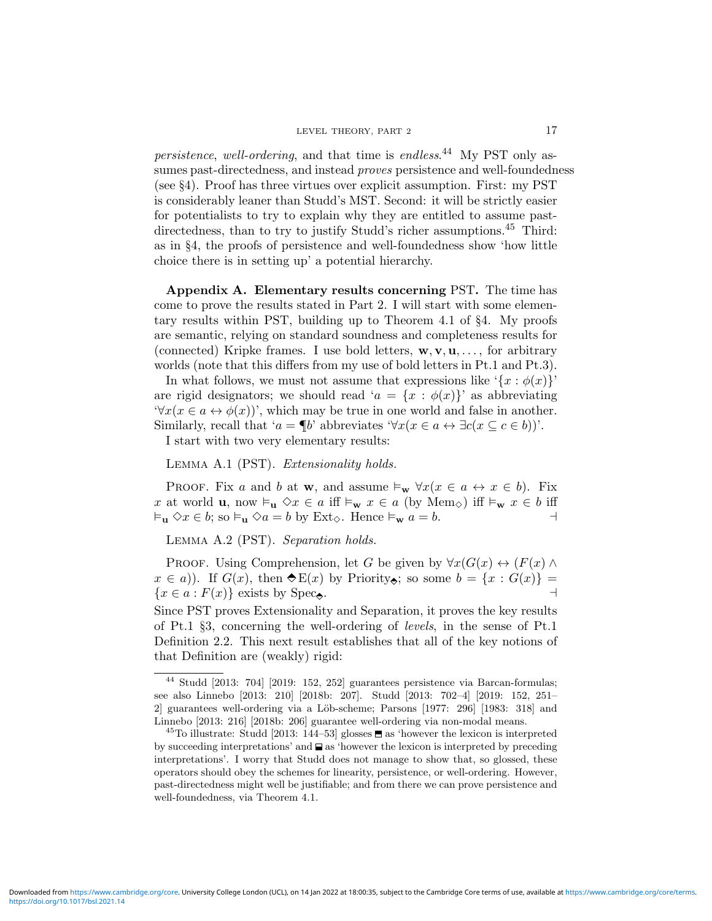persistence, well-ordering, and that time is endless.<sup>44</sup> My PST only assumes past-directedness, and instead *proves* persistence and well-foundedness (see §4). Proof has three virtues over explicit assumption. First: my PST is considerably leaner than Studd's MST. Second: it will be strictly easier for potentialists to try to explain why they are entitled to assume pastdirectedness, than to try to justify Studd's richer assumptions.<sup>45</sup> Third: as in §4, the proofs of persistence and well-foundedness show 'how little choice there is in setting up' a potential hierarchy.

Appendix A. Elementary results concerning PST. The time has come to prove the results stated in Part 2. I will start with some elementary results within PST, building up to Theorem 4.1 of §4. My proofs are semantic, relying on standard soundness and completeness results for (connected) Kripke frames. I use bold letters,  $\mathbf{w}, \mathbf{v}, \mathbf{u}, \ldots$ , for arbitrary worlds (note that this differs from my use of bold letters in Pt.1 and Pt.3).

In what follows, we must not assume that expressions like  $\{x : \phi(x)\}$ are rigid designators; we should read ' $a = \{x : \phi(x)\}$ ' as abbreviating  $\forall x(x \in a \leftrightarrow \phi(x))$ ', which may be true in one world and false in another. Similarly, recall that ' $a = \P b$ ' abbreviates ' $\forall x (x \in a \leftrightarrow \exists c (x \subseteq c \in b))$ '.

I start with two very elementary results:

Lemma A.1 (PST). Extensionality holds.

PROOF. Fix a and b at w, and assume  $\models_w \forall x (x \in a \leftrightarrow x \in b)$ . Fix x at world **u**, now  $\vDash_{\mathbf{u}} \Diamond x \in a$  iff  $\vDash_{\mathbf{w}} x \in a$  (by  $\text{Mem}_\Diamond$ ) iff  $\vDash_{\mathbf{w}} x \in b$  iff  $\vDash_{\mathbf{u}} \Diamond x \in b$ ; so  $\vDash_{\mathbf{u}} \Diamond a = b$  by Ext<sub> $\diamond$ </sub>. Hence  $\vDash_{\mathbf{w}} a = b$ .

Lemma A.2 (PST). Separation holds.

PROOF. Using Comprehension, let G be given by  $\forall x(G(x) \leftrightarrow (F(x) \land F(x)))$  $x \in a$ ). If  $G(x)$ , then  $\triangle E(x)$  by Priority, so some  $b = \{x : G(x)\}$  ${x \in a : F(x)}$  exists by Spec.  $\rightarrow$ 

Since PST proves Extensionality and Separation, it proves the key results of Pt.1 §3, concerning the well-ordering of levels, in the sense of Pt.1 Definition 2.2. This next result establishes that all of the key notions of that Definition are (weakly) rigid:

<sup>44</sup> Studd [2013: 704] [2019: 152, 252] guarantees persistence via Barcan-formulas; see also Linnebo [2013: 210] [2018b: 207]. Studd [2013: 702–4] [2019: 152, 251– 2] guarantees well-ordering via a Löb-scheme; Parsons [1977: 296] [1983: 318] and Linnebo [2013: 216] [2018b: 206] guarantee well-ordering via non-modal means.

<sup>&</sup>lt;sup>45</sup>To illustrate: Studd [2013: 144–53] glosses  $\blacksquare$  as 'however the lexicon is interpreted by succeeding interpretations' and  $\Box$  as 'however the lexicon is interpreted by preceding interpretations'. I worry that Studd does not manage to show that, so glossed, these operators should obey the schemes for linearity, persistence, or well-ordering. However, past-directedness might well be justifiable; and from there we can prove persistence and well-foundedness, via Theorem 4.1.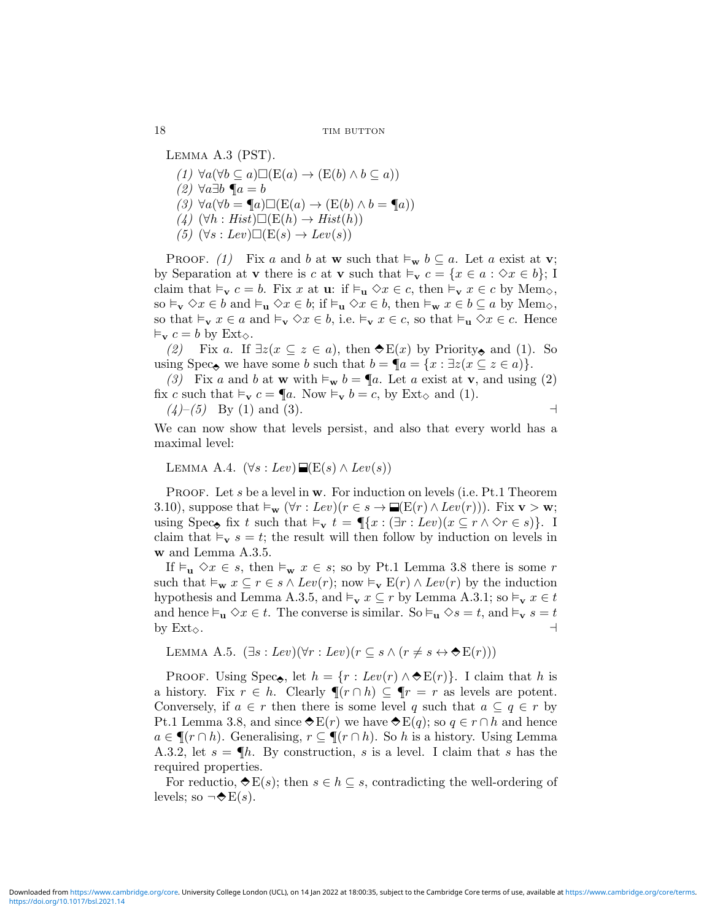LEMMA A.3 (PST).

- (1)  $\forall a(\forall b \subseteq a) \Box (E(a) \rightarrow (E(b) \land b \subseteq a))$
- (2)  $\forall a \exists b \ \P a = b$
- $(3) \ \forall a(\forall b = \P a) \Box (E(a) \rightarrow (E(b) \land b = \P a))$
- (4)  $(\forall h : Hist) \Box (E(h) \rightarrow Hist(h))$
- (5)  $(\forall s : Lev) \square (\mathcal{E}(s) \rightarrow Lev(s))$

PROOF. (1) Fix a and b at w such that  $\vDash_{\mathbf{w}} b \subseteq a$ . Let a exist at v; by Separation at **v** there is c at **v** such that  $\vdash_{\mathbf{v}} c = \{x \in a : \Diamond x \in b\};$  I claim that  $\vDash_{\mathbf{v}} c = b$ . Fix x at **u**: if  $\vDash_{\mathbf{u}} \Diamond x \in c$ , then  $\vDash_{\mathbf{v}} x \in c$  by Mem<sub> $\diamond$ </sub>, so  $\vDash_{\mathbf{v}} \Diamond x \in b$  and  $\vDash_{\mathbf{u}} \Diamond x \in b$ ; if  $\vDash_{\mathbf{u}} \Diamond x \in b$ , then  $\vDash_{\mathbf{w}} x \in b \subseteq a$  by  $\text{Mem}_\Diamond$ , so that  $\vDash_{\mathbf{v}} x \in a$  and  $\vDash_{\mathbf{v}} \Diamond x \in b$ , i.e.  $\vDash_{\mathbf{v}} x \in c$ , so that  $\vDash_{\mathbf{u}} \Diamond x \in c$ . Hence  $\vDash_{\mathbf{v}} c = b$  by  $\text{Ext}_{\diamondsuit}$ .

(2) Fix a. If  $\exists z(x \subseteq z \in a)$ , then  $\blacklozenge E(x)$  by Priority, and (1). So using Spec, we have some b such that  $b = \P a = \{x : \exists z (x \subseteq z \in a)\}.$ 

(3) Fix a and b at **w** with  $\vDash_{\mathbf{w}} b = \P a$ . Let a exist at **v**, and using (2) fix c such that  $\vDash_{\mathbf{v}} c = \P a$ . Now  $\vDash_{\mathbf{v}} b = c$ , by Ext<sub> $\diamond$ </sub> and (1).

(4)–(5) By (1) and (3). a

We can now show that levels persist, and also that every world has a maximal level:

LEMMA A.4.  $(\forall s : Lev) \blacksquare (\mathcal{E}(s) \land Lev(s))$ 

PROOF. Let s be a level in  $w$ . For induction on levels (i.e. Pt.1 Theorem 3.10), suppose that  $\vDash_{\mathbf{w}} (\forall r : Lev)(r \in s \rightarrow \blacksquare(\mathbf{E}(r) \land Lev(r)))$ . Fix  $\mathbf{v} > \mathbf{w}$ ; using Spec<sub> $\bullet$ </sub> fix t such that  $\vDash_{\mathbf{v}} t = \P\{x : (\exists r : Lev)(x \subseteq r \land \Diamond r \in s)\}.$  I claim that  $\vDash_{\mathbf{v}} s = t$ ; the result will then follow by induction on levels in w and Lemma A.3.5.

If  $\vDash_{\mathbf{u}} \Diamond x \in s$ , then  $\vDash_{\mathbf{w}} x \in s$ ; so by Pt.1 Lemma 3.8 there is some r such that  $\vDash_{\mathbf{w}} x \subseteq r \in s \land Lev(r);$  now  $\vDash_{\mathbf{v}} \mathbf{E}(r) \land Lev(r)$  by the induction hypothesis and Lemma A.3.5, and  $\vDash_{\mathbf{v}} x \subseteq r$  by Lemma A.3.1; so  $\vDash_{\mathbf{v}} x \in t$ and hence  $\vDash_{\mathbf{u}} \Diamond x \in t$ . The converse is similar. So  $\vDash_{\mathbf{u}} \Diamond s = t$ , and  $\vDash_{\mathbf{v}} s = t$ by  $\text{Ext}_{\diamondsuit}$ .

LEMMA A.5.  $(\exists s : Lev)(\forall r : Lev)(r \subseteq s \land (r \neq s \leftrightarrow \bigstar E(r)))$ 

PROOF. Using Spec, let  $h = \{r : Lev(r) \wedge \mathcal{E}E(r)\}\$ . I claim that h is a history. Fix  $r \in h$ . Clearly  $\P(r \cap h) \subseteq \P r = r$  as levels are potent. Conversely, if  $a \in r$  then there is some level q such that  $a \subseteq q \in r$  by Pt.1 Lemma 3.8, and since  $\hat{\bf{\triangledown}} E(r)$  we have  $\hat{\bf{\triangledown}} E(q)$ ; so  $q \in r \cap h$  and hence  $a \in \P(r \cap h)$ . Generalising,  $r \subseteq \P(r \cap h)$ . So h is a history. Using Lemma A.3.2, let  $s = \P h$ . By construction, s is a level. I claim that s has the required properties.

For reductio,  $\triangle E(s)$ ; then  $s \in h \subseteq s$ , contradicting the well-ordering of levels; so  $\neg \blacktriangleright E(s)$ .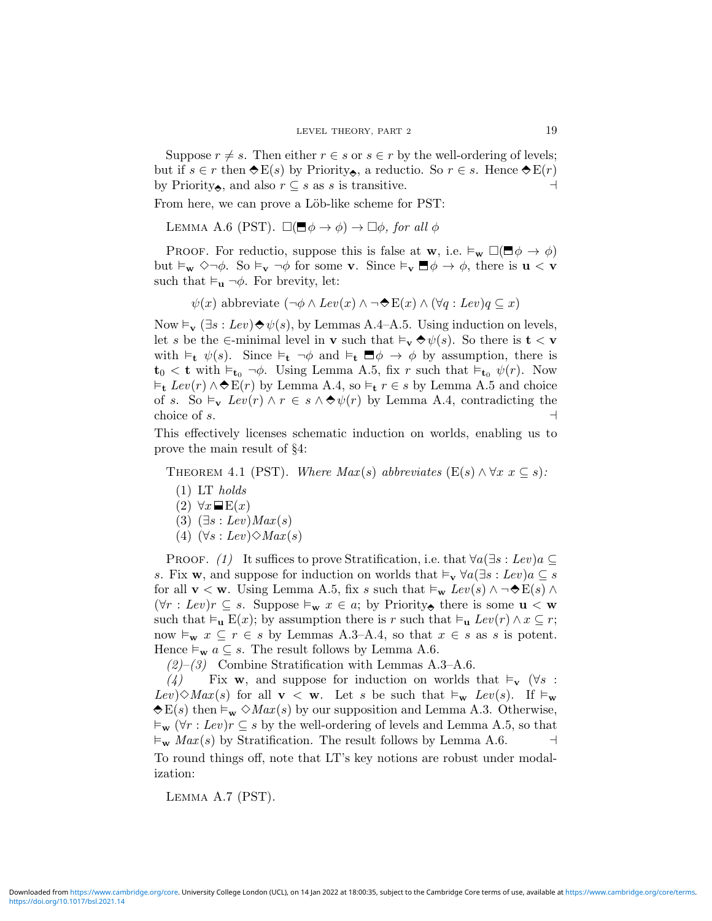Suppose  $r \neq s$ . Then either  $r \in s$  or  $s \in r$  by the well-ordering of levels; but if  $s \in r$  then  $\triangle E(s)$  by Priority, a reductio. So  $r \in s$ . Hence  $\triangle E(r)$ by Priority, and also  $r \subseteq s$  as s is transitive.

From here, we can prove a Löb-like scheme for PST:

LEMMA A.6 (PST).  $\square(\blacksquare \phi \rightarrow \phi) \rightarrow \square \phi$ , for all  $\phi$ 

PROOF. For reductio, suppose this is false at w, i.e.  $\vDash_{\mathbf{w}} \Box(\blacksquare \phi \rightarrow \phi)$ but  $\vDash_{\mathbf{w}} \Diamond \neg \phi$ . So  $\vDash_{\mathbf{v}} \neg \phi$  for some **v**. Since  $\vDash_{\mathbf{v}} \Box \phi \rightarrow \phi$ , there is **u** < **v** such that  $\vDash_{\mathbf{u}} \neg \phi$ . For brevity, let:

 $\psi(x)$  abbreviate  $(\neg \phi \land Lev(x) \land \neg \blacklozenge E(x) \land (\forall q : Lev) q \subseteq x)$ 

Now  $\vDash_{\mathbf{v}} (\exists s : Lev) \Leftrightarrow \psi(s)$ , by Lemmas A.4–A.5. Using induction on levels, let s be the ∈-minimal level in **v** such that  $\models_{\mathbf{v}} \diamondsuit \psi(s)$ . So there is  $\mathbf{t} < \mathbf{v}$ with  $\models_{\mathbf{t}} \psi(s)$ . Since  $\models_{\mathbf{t}} \neg \phi$  and  $\models_{\mathbf{t}} \Box \phi \rightarrow \phi$  by assumption, there is  $t_0 < t$  with  $\varepsilon_{t_0} \neg \phi$ . Using Lemma A.5, fix r such that  $\varepsilon_{t_0} \psi(r)$ . Now  $\vDash$ <sub>t</sub>  $Lev(r) \wedge \bigstar E(r)$  by Lemma A.4, so  $\vDash$ <sub>t</sub>  $r \in s$  by Lemma A.5 and choice of s. So  $\vDash_{\mathbf{v}} Lev(r) \wedge r \in s \wedge \bigcirc \psi(r)$  by Lemma A.4, contradicting the choice of s.  $\Box$ 

This effectively licenses schematic induction on worlds, enabling us to prove the main result of §4:

THEOREM 4.1 (PST). Where  $Max(s)$  abbreviates  $(E(s) \wedge \forall x \ x \subseteq s)$ :

- $(1)$  LT holds
- $(2) \forall x \blacksquare E(x)$
- $(3)$   $(\exists s : Lev) Max(s)$
- (4)  $(\forall s : Lev) \Diamond Max(s)$

PROOF. (1) It suffices to prove Stratification, i.e. that  $\forall a(\exists s : Lev)a \subseteq$ s. Fix **w**, and suppose for induction on worlds that  $\models_v \forall a(\exists s : Lev)a \subseteq s$ for all  $\mathbf{v} < \mathbf{w}$ . Using Lemma A.5, fix s such that  $\vDash_{\mathbf{w}} Lev(s) \land \neg \bigstar \mathbf{E}(s) \land \neg \neg \neg \neg \mathbf{E}(s)$  $(\forall r : Lev) r \subseteq s$ . Suppose  $\vDash_{\mathbf{w}} x \in a$ ; by Priority, there is some  $\mathbf{u} < \mathbf{w}$ such that  $\vDash_{\mathbf{u}} \mathbf{E}(x)$ ; by assumption there is r such that  $\vDash_{\mathbf{u}} \text{Lev}(r) \land x \subseteq r$ ; now  $\vDash_{\mathbf{w}} x \subseteq r \in s$  by Lemmas A.3–A.4, so that  $x \in s$  as s is potent. Hence  $\vDash_{\mathbf{w}} a \subseteq s$ . The result follows by Lemma A.6.

 $(2)$ – $(3)$  Combine Stratification with Lemmas A.3–A.6.

(4) Fix w, and suppose for induction on worlds that  $\vDash_{\mathbf{v}} (\forall s :$ Lev) $\Diamond$ Max(s) for all  $\mathbf{v} < \mathbf{w}$ . Let s be such that  $\models_{\mathbf{w}}$  Lev(s). If  $\models_{\mathbf{w}}$  $\bigotimes E(s)$  then  $\vDash_{\mathbf{w}} \bigcirc Max(s)$  by our supposition and Lemma A.3. Otherwise,  $\vDash_{\mathbf{w}} (\forall r : Lev) r \subseteq s$  by the well-ordering of levels and Lemma A.5, so that  $\varepsilon_{\mathbf{w}}$  Max(s) by Stratification. The result follows by Lemma A.6.  $\Box$ To round things off, note that LT's key notions are robust under modalization:

LEMMA A.7 (PST).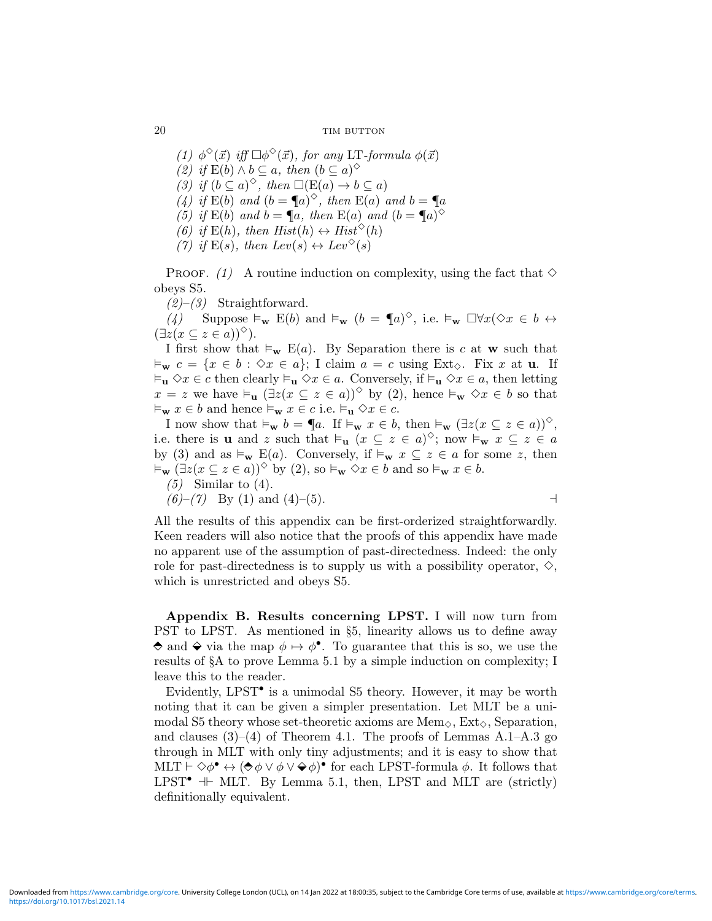(1)  $\phi^{\diamond}(\vec{x})$  iff  $\Box \phi^{\diamond}(\vec{x})$ , for any LT-formula  $\phi(\vec{x})$ (2) if  $E(b) \wedge b \subseteq a$ , then  $(b \subseteq a)^\diamond$ (3) if  $(b \subseteq a)^\diamond$ , then  $\square(E(a) \to b \subseteq a)$ (4) if  $E(b)$  and  $(b = \P a)^{\diamond}$ , then  $E(a)$  and  $b = \P a$ (5) if  $E(b)$  and  $b = \P a$ , then  $E(a)$  and  $(b = \P a)^\diamond$ (6) if  $E(h)$ , then  $Hist(h) \leftrightarrow Hist^{\diamond}(h)$ 

(7) if  $E(s)$ , then  $Lev(s) \leftrightarrow Lev^{\diamond}(s)$ 

PROOF. (1) A routine induction on complexity, using the fact that  $\diamond$ obeys S5.

 $(2)$ – $(3)$  Straightforward.

 $(4)$  Suppose  $\vDash_{\mathbf{w}}$  E(b) and  $\vDash_{\mathbf{w}}$   $(b = \P_a)^\diamond$ , i.e.  $\vDash_{\mathbf{w}} \Box \forall x (\diamond x \in b \leftrightarrow \bot)$  $(\exists z(x \subseteq z \in a))^{\diamondsuit}).$ 

I first show that  $\vDash_{\mathbf{w}}$  E(a). By Separation there is c at **w** such that  $\vDash_{\mathbf{w}} c = \{x \in b : \Diamond x \in a\};$  I claim  $a = c$  using Ext $\Diamond$ . Fix x at u. If  $\vDash_{\mathbf{u}} \Diamond x \in c$  then clearly  $\vDash_{\mathbf{u}} \Diamond x \in a$ . Conversely, if  $\vDash_{\mathbf{u}} \Diamond x \in a$ , then letting  $x = z$  we have  $\vDash_{\mathbf{u}} (\exists z (x \subseteq z \in a))^\diamond$  by (2), hence  $\vDash_{\mathbf{w}} \diamond x \in b$  so that  $\vDash_{\mathbf{w}} x \in b$  and hence  $\vDash_{\mathbf{w}} x \in c$  i.e.  $\vDash_{\mathbf{u}} \Diamond x \in c$ .

I now show that  $\vDash_{\mathbf{w}} b = \P a$ . If  $\vDash_{\mathbf{w}} x \in b$ , then  $\vDash_{\mathbf{w}} (\exists z(x \subseteq z \in a))^{\diamond}$ , i.e. there is **u** and z such that  $\vDash_{\mathbf{u}} (x \subseteq z \in a)^{\diamond}$ ; now  $\vDash_{\mathbf{w}} x \subseteq z \in a$ by (3) and as  $\vDash_{\mathbf{w}}$  E(a). Conversely, if  $\vDash_{\mathbf{w}} x \subseteq z \in a$  for some z, then  $\vDash_{\mathbf{w}} (\exists z (x \subseteq z \in a))^\diamondsuit$  by (2), so  $\vDash_{\mathbf{w}} \diamond x \in b$  and so  $\vDash_{\mathbf{w}} x \in b$ .  $(5)$  Similar to  $(4)$ .

 $(6)-(7)$  By (1) and (4)–(5).

All the results of this appendix can be first-orderized straightforwardly. Keen readers will also notice that the proofs of this appendix have made no apparent use of the assumption of past-directedness. Indeed: the only role for past-directedness is to supply us with a possibility operator, 
$$
\diamond
$$
, which is unrestricted and obeys S5.

Appendix B. Results concerning LPST. I will now turn from PST to LPST. As mentioned in §5, linearity allows us to define away and  $\hat{\bullet}$  via the map  $\phi \mapsto \phi^{\bullet}$ . To guarantee that this is so, we use the results of §A to prove Lemma 5.1 by a simple induction on complexity; I leave this to the reader.

Evidently, LPST<sup>•</sup> is a unimodal S5 theory. However, it may be worth noting that it can be given a simpler presentation. Let MLT be a unimodal S5 theory whose set-theoretic axioms are Mem<sub> $\diamond$ </sub>, Ext $\diamond$ , Separation, and clauses  $(3)$ – $(4)$  of Theorem 4.1. The proofs of Lemmas A.1–A.3 go through in MLT with only tiny adjustments; and it is easy to show that MLT  $\vdash \Diamond \phi^{\bullet} \leftrightarrow (\bigcirc \phi \lor \phi \lor \bigcirc \phi)^{\bullet}$  for each LPST-formula  $\phi$ . It follows that LPST<sup> $\bullet$ </sup> + MLT. By Lemma 5.1, then, LPST and MLT are (strictly) definitionally equivalent.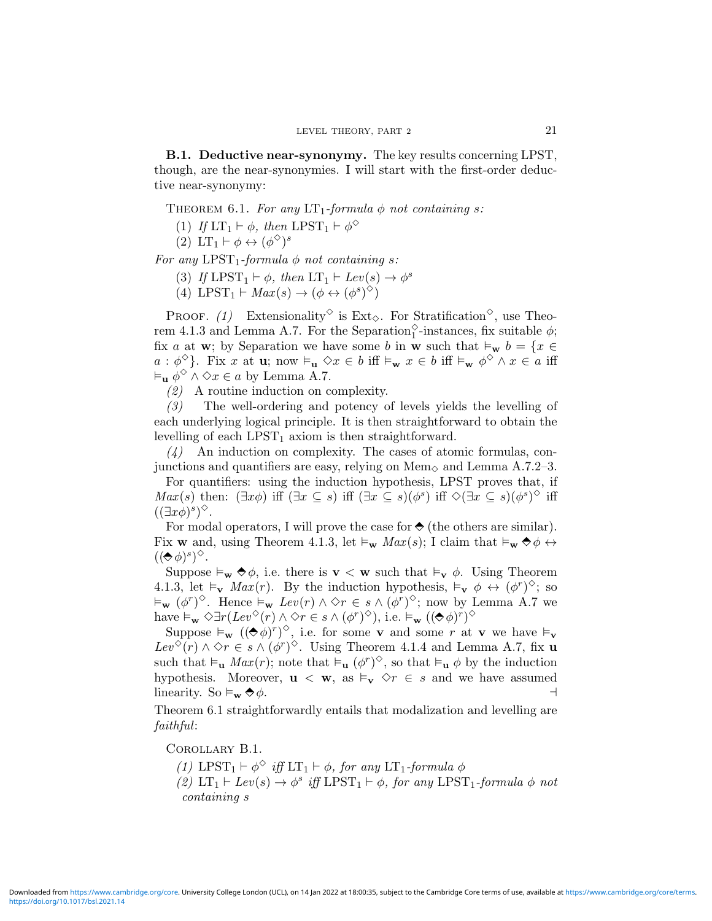B.1. Deductive near-synonymy. The key results concerning LPST, though, are the near-synonymies. I will start with the first-order deductive near-synonymy:

THEOREM 6.1. For any  $LT_1$ -formula  $\phi$  not containing s:

(1) If  $LT_1 \vdash \phi$ , then  $LPST_1 \vdash \phi^{\diamond}$ 

(2) LT<sub>1</sub>  $\vdash \phi \leftrightarrow (\phi^{\diamondsuit})^s$ 

For any  $LPST_1$ -formula  $\phi$  not containing s:

(3) If  $LPST_1 \vdash \phi$ , then  $LT_1 \vdash Lev(s) \rightarrow \phi^s$ 

(4) LPST<sub>1</sub>  $\vdash Max(s) \rightarrow (\phi \leftrightarrow (\phi^s)^{\diamond})$ 

PROOF. (1) Extensionality<sup> $\diamond$ </sup> is Ext<sub> $\diamond$ </sub>. For Stratification<sup> $\diamond$ </sup>, use Theorem 4.1.3 and Lemma A.7. For the Separation<sup> $\diamond$ </sup>-instances, fix suitable  $\phi$ ; fix a at w; by Separation we have some b in w such that  $\vDash_{\mathbf{w}} b = \{x \in$  $a: \phi^{\diamond}$ . Fix x at **u**; now  $\vDash_{\mathbf{u}} \diamond x \in b$  iff  $\vDash_{\mathbf{w}} x \in b$  iff  $\vDash_{\mathbf{w}} \phi^{\diamond} \wedge x \in a$  iff  $\vDash_{\mathbf{u}} \phi^{\diamond} \land \diamond x \in a$  by Lemma A.7.

(2) A routine induction on complexity.

(3) The well-ordering and potency of levels yields the levelling of each underlying logical principle. It is then straightforward to obtain the levelling of each  $LPST_1$  axiom is then straightforward.

 $(4)$  An induction on complexity. The cases of atomic formulas, conjunctions and quantifiers are easy, relying on  $\text{Mem}_{\diamond}$  and Lemma A.7.2–3.

For quantifiers: using the induction hypothesis, LPST proves that, if  $Max(s)$  then:  $(\exists x \phi)$  iff  $(\exists x \subseteq s)$  iff  $(\exists x \subseteq s)(\phi^s)$  iff  $\Diamond(\exists x \subseteq s)(\phi^s)$  iff  $((\exists x \phi)^s)^\diamondsuit$ .

For modal operators, I will prove the case for  $\Diamond$  (the others are similar). Fix **w** and, using Theorem 4.1.3, let  $\vDash_{\mathbf{w}} Max(s)$ ; I claim that  $\vDash_{\mathbf{w}} \lozenge \phi \leftrightarrow$  $((\Leftrightarrow \phi)^s)^{\diamondsuit}$ .

Suppose  $\vDash_{\mathbf{w}} \bigotimes \phi$ , i.e. there is  $\mathbf{v} < \mathbf{w}$  such that  $\vDash_{\mathbf{v}} \phi$ . Using Theorem 4.1.3, let  $\vDash_{\mathbf{v}} Max(r)$ . By the induction hypothesis,  $\vDash_{\mathbf{v}} \phi \leftrightarrow (\phi^r)^{\diamond}$ ; so  $\vDash_{\mathbf{w}} (\phi^r)^{\diamond}$ . Hence  $\vDash_{\mathbf{w}} \text{Lev}(r) \land \diamond r \in s \land (\phi^r)^{\diamond}$ ; now by Lemma A.7 we have  $\vDash_{\mathbf{w}} \Diamond \exists r (Lev^{\Diamond}(r) \land \Diamond r \in s \land (\phi^r)^{\Diamond}),$  i.e.  $\vDash_{\mathbf{w}} ((\Diamond \phi)^r)^{\Diamond}$ 

Suppose  $\vDash_{\mathbf{w}} ((\diamond \phi)^r)^\diamond$ , i.e. for some **v** and some r at **v** we have  $\vDash_{\mathbf{v}}$  $Lev^{\diamond}(r) \wedge \diamond r \in s \wedge (\phi^r)^{\diamond}$ . Using Theorem 4.1.4 and Lemma A.7, fix u such that  $\vDash_{\mathbf{u}} Max(r)$ ; note that  $\vDash_{\mathbf{u}} (\phi^r)^{\diamond}$ , so that  $\vDash_{\mathbf{u}} \phi$  by the induction hypothesis. Moreover,  $\mathbf{u} \leq \mathbf{w}$ , as  $\models_{\mathbf{v}} \Diamond r \in s$  and we have assumed linearity. So  $\vDash_{\mathbf{w}} \diamondsuit \phi$ .

Theorem 6.1 straightforwardly entails that modalization and levelling are faithful:

COROLLARY B.1.

- (1) LPST<sub>1</sub>  $\vdash \phi^{\diamond}$  *iff* LT<sub>1</sub>  $\vdash \phi$ *, for any* LT<sub>1</sub>-formula  $\phi$
- (2)  $LT_1 \vdash Lev(s) \rightarrow \phi^s$  iff  $LPST_1 \vdash \phi$ , for any  $LPST_1$ -formula  $\phi$  not containing s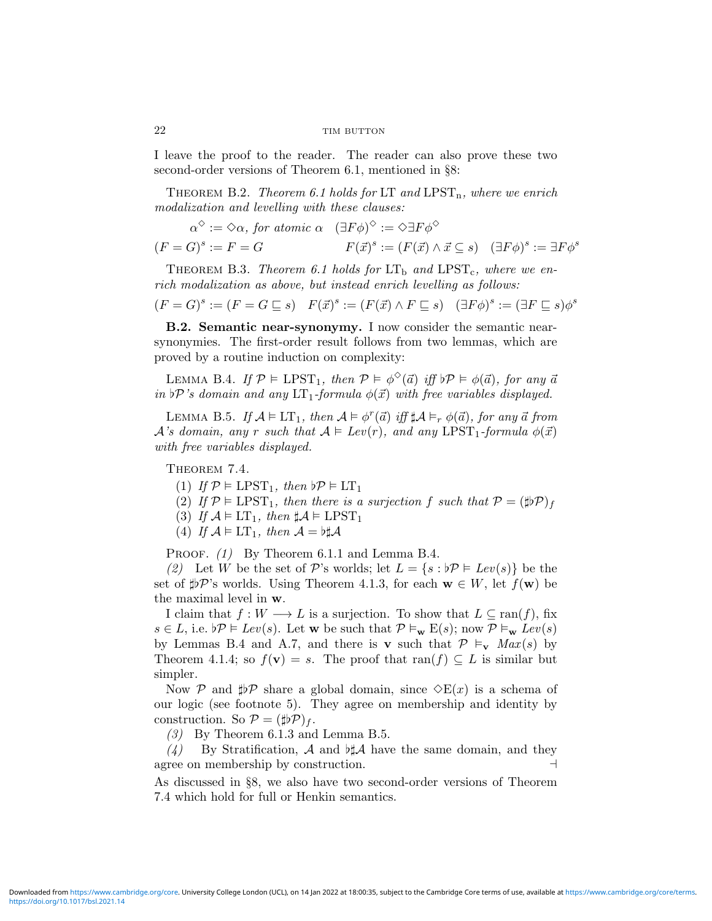I leave the proof to the reader. The reader can also prove these two second-order versions of Theorem 6.1, mentioned in §8:

THEOREM B.2. Theorem 6.1 holds for LT and LPST<sub>n</sub>, where we enrich modalization and levelling with these clauses:

$$
\alpha^{\diamond} := \diamond \alpha, \text{ for atomic } \alpha \quad (\exists F \phi)^{\diamond} := \diamond \exists F \phi^{\diamond}
$$

$$
(F = G)^s := F = G \qquad \qquad F(\vec{x})^s := (F(\vec{x}) \land \vec{x} \subseteq s) \quad (\exists F \phi)^s := \exists F \phi^s
$$

THEOREM B.3. Theorem 6.1 holds for  $LT_b$  and  $LPST_c$ , where we enrich modalization as above, but instead enrich levelling as follows:

$$
(F = G)^s := (F = G \sqsubseteq s) \quad F(\vec{x})^s := (F(\vec{x}) \land F \sqsubseteq s) \quad (\exists F \phi)^s := (\exists F \sqsubseteq s) \phi^s
$$

B.2. Semantic near-synonymy. I now consider the semantic nearsynonymies. The first-order result follows from two lemmas, which are proved by a routine induction on complexity:

LEMMA B.4. If  $P \vDash \text{LPST}_1$ , then  $P \vDash \phi^{\diamond}(\vec{a})$  iff  $\natural \mathcal{P} \vDash \phi(\vec{a})$ , for any  $\vec{a}$ in  $\mathfrak{p}'$ 's domain and any  $LT_1$ -formula  $\phi(\vec{x})$  with free variables displayed.

LEMMA B.5. If  $\mathcal{A} \models LT_1$ , then  $\mathcal{A} \models \phi^r(\vec{a})$  iff  $\sharp \mathcal{A} \models_r \phi(\vec{a})$ , for any  $\vec{a}$  from  $\mathcal{A}$ 's domain, any r such that  $\mathcal{A} \models \text{Lev}(r)$ , and any LPST<sub>1</sub>-formula  $\phi(\vec{x})$ with free variables displayed.

THEOREM 7.4.

(1) If  $\mathcal{P} \models \text{LPST}_1$ , then  $\flat \mathcal{P} \models \text{LT}_1$ 

(2) If  $\mathcal{P} \models \text{LPST}_1$ , then there is a surjection f such that  $\mathcal{P} = (\sharp \flat \mathcal{P})_f$ 

(3) If  $\mathcal{A} \models LT_1$ , then  $\sharp \mathcal{A} \models LPST_1$ 

(4) If  $\mathcal{A} \models LT_1$ , then  $\mathcal{A} = b\sharp \mathcal{A}$ 

PROOF. (1) By Theorem 6.1.1 and Lemma B.4.

(2) Let W be the set of P's worlds; let  $L = \{s : b\mathcal{P} \models Lev(s)\}\)$  be the set of  $\sharp P$ 's worlds. Using Theorem 4.1.3, for each  $w \in W$ , let  $f(w)$  be the maximal level in w.

I claim that  $f: W \longrightarrow L$  is a surjection. To show that  $L \subseteq \text{ran}(f)$ , fix  $s \in L$ , i.e.  $\flat \mathcal{P} \models Lev(s)$ . Let w be such that  $\mathcal{P} \models_{\mathbf{w}} E(s)$ ; now  $\mathcal{P} \models_{\mathbf{w}} Lev(s)$ by Lemmas B.4 and A.7, and there is v such that  $P \vDash_{\mathbf{v}} Max(s)$  by Theorem 4.1.4; so  $f(\mathbf{v}) = s$ . The proof that ran(f)  $\subseteq L$  is similar but simpler.

Now P and  $\sharp\sharp\mathcal{P}$  share a global domain, since  $\Diamond E(x)$  is a schema of our logic (see footnote 5). They agree on membership and identity by construction. So  $\mathcal{P} = (\sharp \flat \mathcal{P})_f$ .

(3) By Theorem 6.1.3 and Lemma B.5.

 $(4)$  By Stratification, A and  $H\mathcal{A}$  have the same domain, and they agree on membership by construction.  $\Box$ 

As discussed in §8, we also have two second-order versions of Theorem 7.4 which hold for full or Henkin semantics.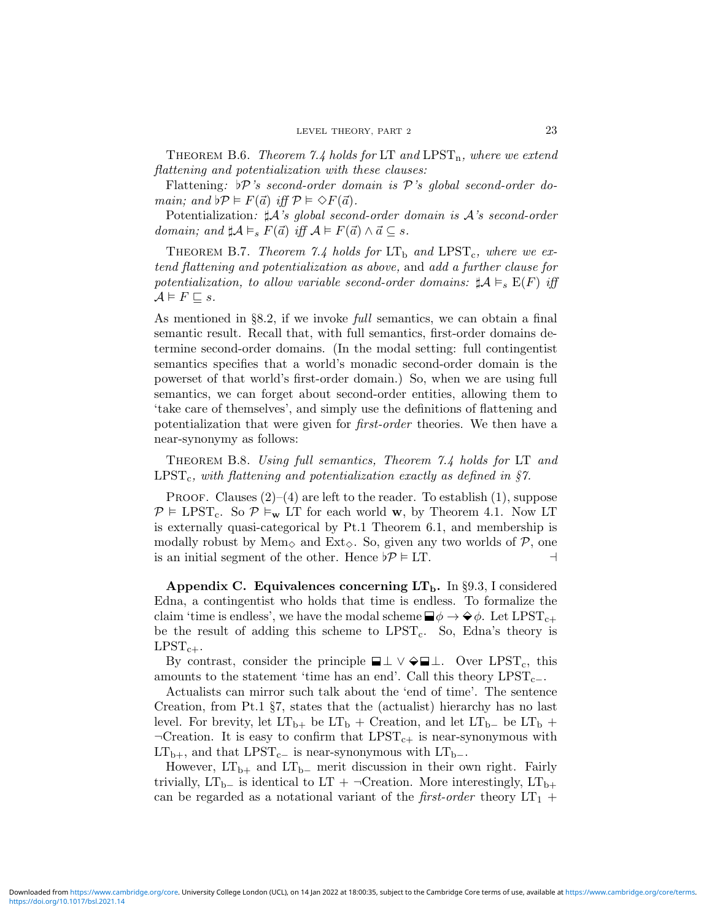THEOREM B.6. Theorem 7.4 holds for LT and LPST<sub>n</sub>, where we extend flattening and potentialization with these clauses:

Flattening:  $\mathcal{P}'s$  second-order domain is P's global second-order domain; and  $p \models F(\vec{a})$  iff  $p \models \Diamond F(\vec{a})$ .

Potentialization:  $\sharp \mathcal{A}$ 's global second-order domain is  $\mathcal{A}$ 's second-order domain; and  $\sharp \mathcal{A} \models_s F(\vec{a})$  iff  $\mathcal{A} \models F(\vec{a}) \land \vec{a} \subseteq s$ .

THEOREM B.7. Theorem 7.4 holds for  $LT_b$  and  $LPST_c$ , where we extend flattening and potentialization as above, and add a further clause for potentialization, to allow variable second-order domains:  $\sharp \mathcal{A} \models_{s} E(F)$  iff  $\mathcal{A} \vDash F \sqsubseteq s.$ 

As mentioned in §8.2, if we invoke full semantics, we can obtain a final semantic result. Recall that, with full semantics, first-order domains determine second-order domains. (In the modal setting: full contingentist semantics specifies that a world's monadic second-order domain is the powerset of that world's first-order domain.) So, when we are using full semantics, we can forget about second-order entities, allowing them to 'take care of themselves', and simply use the definitions of flattening and potentialization that were given for first-order theories. We then have a near-synonymy as follows:

Theorem B.8. Using full semantics, Theorem 7.4 holds for LT and  $LPST_c$ , with flattening and potentialization exactly as defined in §7.

PROOF. Clauses  $(2)$ – $(4)$  are left to the reader. To establish  $(1)$ , suppose  $P \models \text{LPST}_c$ . So  $P \models_w \text{LT}$  for each world w, by Theorem 4.1. Now LT is externally quasi-categorical by Pt.1 Theorem 6.1, and membership is modally robust by Mem<sub> $\diamond$ </sub> and Ext $\diamond$ . So, given any two worlds of P, one is an initial segment of the other. Hence  $\not\!\!\!p \models LT$ .

Appendix C. Equivalences concerning  $LT_{\rm b}$ . In §9.3, I considered Edna, a contingentist who holds that time is endless. To formalize the claim 'time is endless', we have the modal scheme  $\Box \phi \rightarrow \Diamond \phi$ . Let LPST<sub>c+</sub> be the result of adding this scheme to  $LPST_c$ . So, Edna's theory is  $LPST_{c+}.$ 

By contrast, consider the principle  $\Box \bot \vee \Diamond \Box \bot$ . Over LPST<sub>c</sub>, this amounts to the statement 'time has an end'. Call this theory  $LPST_{c-}$ .

Actualists can mirror such talk about the 'end of time'. The sentence Creation, from Pt.1 §7, states that the (actualist) hierarchy has no last level. For brevity, let  $LT_{b+}$  be  $LT_b$  + Creation, and let  $LT_{b-}$  be  $LT_b$  +  $\neg$ Creation. It is easy to confirm that LPST<sub>c+</sub> is near-synonymous with  $LT_{b+}$ , and that  $LPST_{c-}$  is near-synonymous with  $LT_{b-}$ .

However,  $LT_{b+}$  and  $LT_{b-}$  merit discussion in their own right. Fairly trivially, LT<sub>b−</sub> is identical to LT + ¬Creation. More interestingly, LT<sub>b+</sub> can be regarded as a notational variant of the *first-order* theory  $LT_1$  +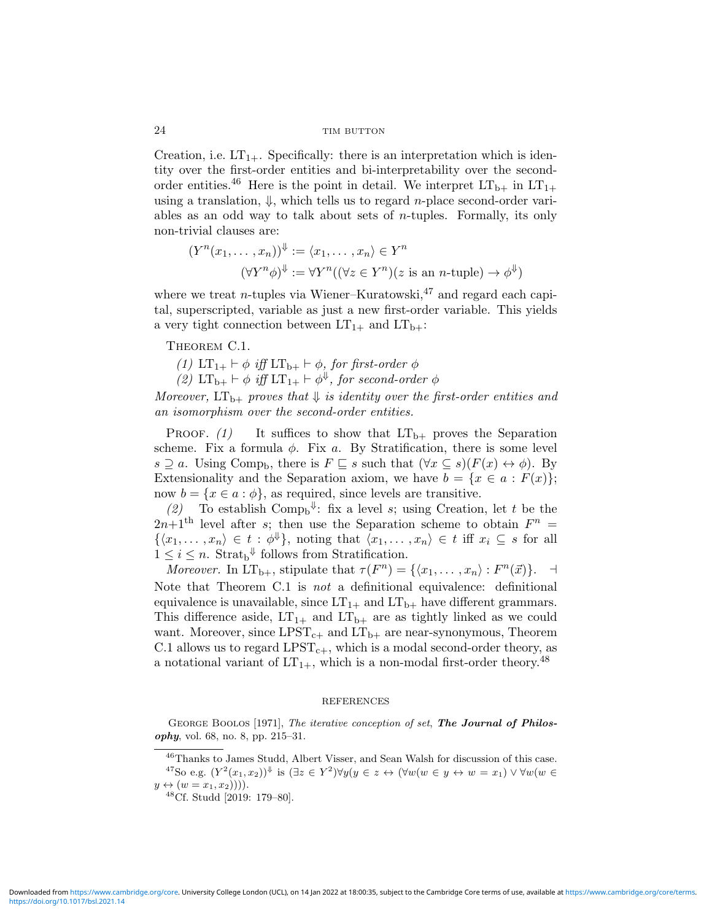Creation, i.e.  $LT_{1+}$ . Specifically: there is an interpretation which is identity over the first-order entities and bi-interpretability over the secondorder entities.<sup>46</sup> Here is the point in detail. We interpret  $LT_{b+}$  in  $LT_{1+}$ using a translation,  $\Downarrow$ , which tells us to regard *n*-place second-order variables as an odd way to talk about sets of *n*-tuples. Formally, its only non-trivial clauses are:

$$
(Y^n(x_1, \dots, x_n))^{\Downarrow} := \langle x_1, \dots, x_n \rangle \in Y^n
$$

$$
(\forall Y^n \phi)^{\Downarrow} := \forall Y^n ((\forall z \in Y^n)(z \text{ is an } n\text{-tuple}) \to \phi^{\Downarrow})
$$

where we treat *n*-tuples via Wiener–Kuratowski,<sup>47</sup> and regard each capital, superscripted, variable as just a new first-order variable. This yields a very tight connection between  $LT_{1+}$  and  $LT_{b+}$ :

THEOREM C.1.

(1)  $LT_{1+} \vdash \phi$  iff  $LT_{b+} \vdash \phi$ , for first-order  $\phi$ 

(2)  $LT_{b+} \vdash \phi$  iff  $LT_{1+} \vdash \phi^{\Downarrow}$ , for second-order  $\phi$ 

Moreover,  $LT_{b+}$  proves that  $\Downarrow$  is identity over the first-order entities and an isomorphism over the second-order entities.

PROOF. (1) It suffices to show that  $LT_{b+}$  proves the Separation scheme. Fix a formula  $\phi$ . Fix a. By Stratification, there is some level  $s \supseteq a$ . Using Comp<sub>b</sub>, there is  $F \subseteq s$  such that  $(\forall x \subseteq s)(F(x) \leftrightarrow \phi)$ . By Extensionality and the Separation axiom, we have  $b = \{x \in a : F(x)\};$ now  $b = \{x \in a : \phi\}$ , as required, since levels are transitive.

(2) To establish Comp<sub>b</sub><sup> $\Downarrow$ </sup>: fix a level *s*; using Creation, let *t* be the  $2n+1$ <sup>th</sup> level after s; then use the Separation scheme to obtain  $F^n =$  $\{\langle x_1, \ldots, x_n \rangle \in t : \phi^{\Downarrow}\},\$  noting that  $\langle x_1, \ldots, x_n \rangle \in t$  iff  $x_i \subseteq s$  for all  $1 \leq i \leq n$ . Strat<sub>b</sub><sup> $\downarrow$ </sup> follows from Stratification.

Moreover. In  $LT_{b+}$ , stipulate that  $\tau(F^n) = \{ \langle x_1, \ldots, x_n \rangle : F^n(\vec{x}) \}.$ Note that Theorem C.1 is not a definitional equivalence: definitional equivalence is unavailable, since  $LT_{1+}$  and  $LT_{b+}$  have different grammars. This difference aside,  $LT_{1+}$  and  $LT_{b+}$  are as tightly linked as we could want. Moreover, since  $LPST_{c+}$  and  $LT_{b+}$  are near-synonymous, Theorem C.1 allows us to regard  $LPST_{c+}$ , which is a modal second-order theory, as a notational variant of  $LT_{1+}$ , which is a non-modal first-order theory.<sup>48</sup>

#### REFERENCES

GEORGE BOOLOS [1971], The iterative conception of set, The Journal of Philosophy, vol. 68, no. 8, pp. 215–31.

<sup>46</sup>Thanks to James Studd, Albert Visser, and Sean Walsh for discussion of this case.

<sup>&</sup>lt;sup>47</sup>So e.g.  $(Y^2(x_1,x_2))^{\Downarrow}$  is  $(\exists z \in Y^2) \forall y (y \in z \leftrightarrow (\forall w(w \in y \leftrightarrow w = x_1) \vee \forall w (w \in y \leftrightarrow w = x_2))$  $y \leftrightarrow (w = x_1, x_2))$ .

<sup>48</sup>Cf. Studd [2019: 179–80].